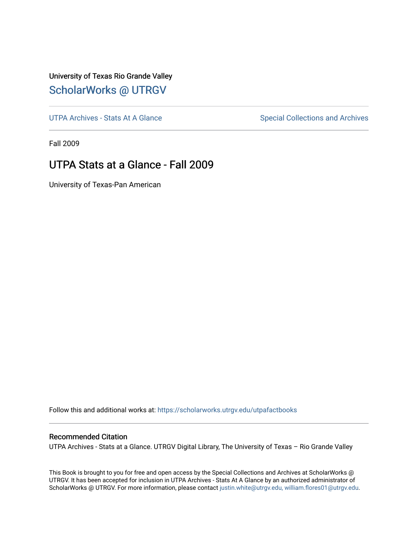## University of Texas Rio Grande Valley [ScholarWorks @ UTRGV](https://scholarworks.utrgv.edu/)

[UTPA Archives - Stats At A Glance](https://scholarworks.utrgv.edu/utpafactbooks) Special Collections and Archives

Fall 2009

## UTPA Stats at a Glance - Fall 2009

University of Texas-Pan American

Follow this and additional works at: [https://scholarworks.utrgv.edu/utpafactbooks](https://scholarworks.utrgv.edu/utpafactbooks?utm_source=scholarworks.utrgv.edu%2Futpafactbooks%2F3&utm_medium=PDF&utm_campaign=PDFCoverPages)

### Recommended Citation

UTPA Archives - Stats at a Glance. UTRGV Digital Library, The University of Texas – Rio Grande Valley

This Book is brought to you for free and open access by the Special Collections and Archives at ScholarWorks @ UTRGV. It has been accepted for inclusion in UTPA Archives - Stats At A Glance by an authorized administrator of ScholarWorks @ UTRGV. For more information, please contact [justin.white@utrgv.edu, william.flores01@utrgv.edu](mailto:justin.white@utrgv.edu,%20william.flores01@utrgv.edu).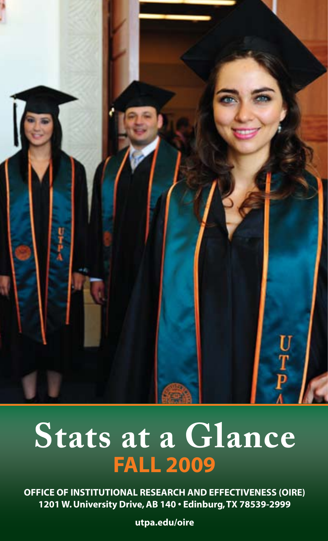

## $\mathbf{P} = \mathbf{P} \mathbf{P}$ at a G Web address: http://oire.utpa.edu **Fall 2009 Stats at a Glance**

**OFFICE OF INSTITUTIONAL RESEARCH AND EFFECTIVENESS (OIRE) 1201 W. University Drive, AB 140 • Edinburg, TX 78539-2999**

**utpa.edu/oire**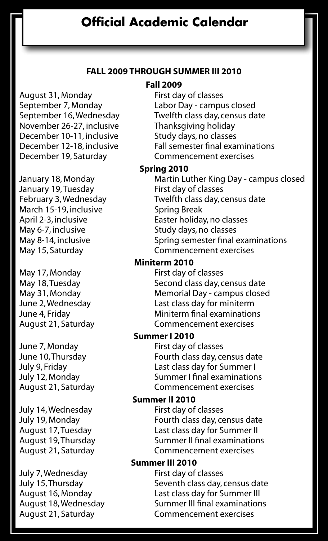### **Fall 2009 through Summer III 2010**

**Fall 2009**

August 31, Monday First day of classes November 26-27, inclusive Thanksgiving holiday December 10-11, inclusive Study days, no classes<br>December 12-18, inclusive Fall semester final exam December 19, Saturday Commencement exercises

January 19, Tuesday First day of classes March 15-19, inclusive Spring Break May 6-7, inclusive Study days, no classes

May 17, Monday First day of classes

June 7, Monday First day of classes<br>June 10, Thursday Fourth class day, ce

July 14, Wednesday First day of classes<br>July 19, Monday Fourth class day, ce

July 7, Wednesday<br>July 15, Thursday

September 7, Monday Labor Day - campus closed<br>September 16, Wednesday Twelfth class day, census da Twelfth class day, census date Fall semester final examinations

#### **Spring 2010**

January 18, Monday Martin Luther King Day - campus closed February 3, Wednesday Twelfth class day, census date April 2-3, inclusive Easter holiday, no classes May 8-14, inclusive Spring semester final examinations May 15, Saturday Commencement exercises

#### **Miniterm 2010**

May 18, Tuesday Second class day, census date May 31, Monday Memorial Day - campus closed June 2, Wednesday Last class day for miniterm Miniterm final examinations August 21, Saturday Commencement exercises

### **Summer I 2010**

Fourth class day, census date July 9, Friday Last class day for Summer I July 12, Monday Summer I final examinations August 21, Saturday Commencement exercises

#### **Summer II 2010**

July 19, Monday Fourth class day, census date Last class day for Summer II August 19, Thursday Summer II final examinations<br>August 21, Saturday Sommencement exercises Commencement exercises

## **Summer III 2010**<br>First day of classes

Seventh class day, census date August 16, Monday Last class day for Summer III August 18, Wednesday Summer III final examinations<br>August 21, Saturday Commencement exercises Commencement exercises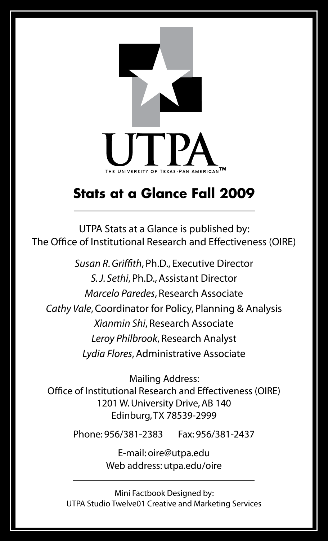

## **Stats at a Glance Fall 2009**

UTPA Stats at a Glance is published by: The Office of Institutional Research and Effectiveness (OIRE)

*Susan R. Griffith*, Ph.D., Executive Director *S. J. Sethi*, Ph.D., Assistant Director *Marcelo Paredes*, Research Associate *Cathy Vale*, Coordinator for Policy, Planning & Analysis *Xianmin Shi*, Research Associate *Leroy Philbrook*, Research Analyst *Lydia Flores*, Administrative Associate

Mailing Address: Office of Institutional Research and Effectiveness (OIRE) 1201 W. University Drive, AB 140 Edinburg, TX 78539-2999

Phone: 956/381-2383 Fax: 956/381-2437

E-mail: oire@utpa.edu Web address: utpa.edu/oire

Mini Factbook Designed by: UTPA Studio Twelve01 Creative and Marketing Services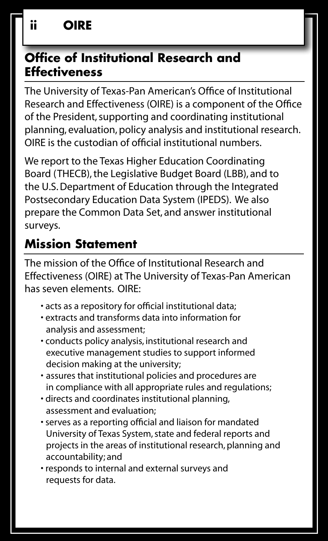## **Office of Institutional Research and Effectiveness**

The University of Texas-Pan American's Office of Institutional Research and Effectiveness (OIRE) is a component of the Office of the President, supporting and coordinating institutional planning, evaluation, policy analysis and institutional research. OIRE is the custodian of official institutional numbers.

We report to the Texas Higher Education Coordinating Board (THECB), the Legislative Budget Board (LBB), and to the U.S. Department of Education through the Integrated Postsecondary Education Data System (IPEDS). We also prepare the Common Data Set, and answer institutional surveys.

## **Mission Statement**

The mission of the Office of Institutional Research and Effectiveness (OIRE) at The University of Texas-Pan American has seven elements. OIRE:

- acts as a repository for official institutional data;
- extracts and transforms data into information for analysis and assessment;
- conducts policy analysis, institutional research and executive management studies to support informed decision making at the university;
- assures that institutional policies and procedures are in compliance with all appropriate rules and regulations;
- directs and coordinates institutional planning, assessment and evaluation;
- serves as a reporting official and liaison for mandated University of Texas System, state and federal reports and projects in the areas of institutional research, planning and accountability; and
- responds to internal and external surveys and requests for data.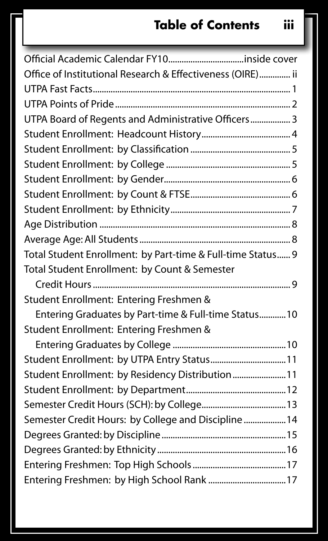## **Table of Contents iii**

| Office of Institutional Research & Effectiveness (OIRE) ii  |
|-------------------------------------------------------------|
|                                                             |
|                                                             |
| UTPA Board of Regents and Administrative Officers 3         |
|                                                             |
|                                                             |
|                                                             |
|                                                             |
|                                                             |
|                                                             |
|                                                             |
|                                                             |
| Total Student Enrollment: by Part-time & Full-time Status 9 |
| Total Student Enrollment: by Count & Semester               |
|                                                             |
| Student Enrollment: Entering Freshmen &                     |
| Entering Graduates by Part-time & Full-time Status10        |
| Student Enrollment: Entering Freshmen &                     |
|                                                             |
| Student Enrollment: by UTPA Entry Status 11                 |
| Student Enrollment: by Residency Distribution 11            |
|                                                             |
|                                                             |
| Semester Credit Hours: by College and Discipline 14         |
|                                                             |
|                                                             |
|                                                             |
| Entering Freshmen: by High School Rank  17                  |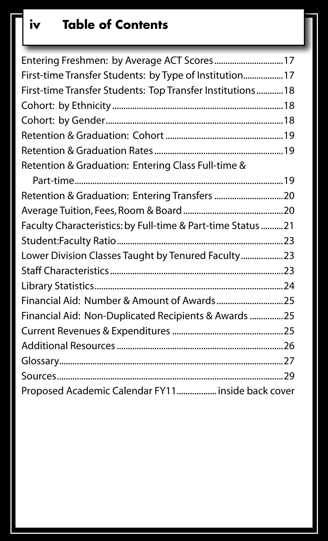## **iv Table of Contents**

| Entering Freshmen: by Average ACT Scores 17                 |  |
|-------------------------------------------------------------|--|
| First-time Transfer Students: by Type of Institution 17     |  |
| First-time Transfer Students: Top Transfer Institutions 18  |  |
|                                                             |  |
|                                                             |  |
|                                                             |  |
|                                                             |  |
| Retention & Graduation: Entering Class Full-time &          |  |
|                                                             |  |
| Retention & Graduation: Entering Transfers  20              |  |
|                                                             |  |
| Faculty Characteristics: by Full-time & Part-time Status 21 |  |
|                                                             |  |
| Lower Division Classes Taught by Tenured Faculty23          |  |
|                                                             |  |
|                                                             |  |
| Financial Aid: Number & Amount of Awards25                  |  |
| Financial Aid: Non-Duplicated Recipients & Awards 25        |  |
|                                                             |  |
|                                                             |  |
|                                                             |  |
|                                                             |  |
| Proposed Academic Calendar FY11 inside back cover           |  |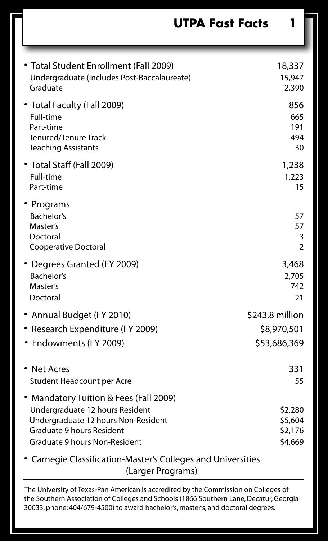**UTPA Fast Facts 1**

| • Total Student Enrollment (Fall 2009)<br>Undergraduate (Includes Post-Baccalaureate)<br>Graduate                                                                                     | 18,337<br>15,947<br>2,390                |
|---------------------------------------------------------------------------------------------------------------------------------------------------------------------------------------|------------------------------------------|
| • Total Faculty (Fall 2009)<br>Full-time<br>Part-time<br><b>Tenured/Tenure Track</b><br><b>Teaching Assistants</b>                                                                    | 856<br>665<br>191<br>494<br>30           |
| • Total Staff (Fall 2009)<br>Full-time<br>Part-time                                                                                                                                   | 1,238<br>1,223<br>15                     |
| • Programs<br>Bachelor's<br>Master's<br>Doctoral<br><b>Cooperative Doctoral</b>                                                                                                       | 57<br>57<br>3<br>$\overline{2}$          |
| • Degrees Granted (FY 2009)<br>Bachelor's<br>Master's<br>Doctoral                                                                                                                     | 3,468<br>2,705<br>742<br>21              |
| • Annual Budget (FY 2010)                                                                                                                                                             | \$243.8 million                          |
| • Research Expenditure (FY 2009)                                                                                                                                                      | \$8,970,501                              |
| • Endowments (FY 2009)                                                                                                                                                                | \$53,686,369                             |
| • Net Acres<br>Student Headcount per Acre                                                                                                                                             | 331<br>55                                |
| • Mandatory Tuition & Fees (Fall 2009)<br>Undergraduate 12 hours Resident<br>Undergraduate 12 hours Non-Resident<br><b>Graduate 9 hours Resident</b><br>Graduate 9 hours Non-Resident | \$2,280<br>\$5,604<br>\$2,176<br>\$4,669 |
| $C_{2}$ and a set of $C_{3}$ and $C_{4}$ and $C_{5}$ is the set of $C_{6}$ is the set of $C_{6}$ is the set of $C_{6}$                                                                |                                          |

• Carnegie Classification-Master's Colleges and Universities (Larger Programs)

The University of Texas-Pan American is accredited by the Commission on Colleges of the Southern Association of Colleges and Schools (1866 Southern Lane, Decatur, Georgia 30033, phone: 404/679-4500) to award bachelor's, master's, and doctoral degrees.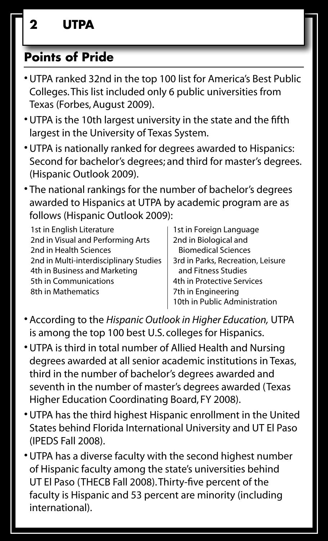## **Points of Pride**

- •UTPA ranked 32nd in the top 100 list for America's Best Public Colleges. This list included only 6 public universities from Texas (Forbes, August 2009).
- •UTPA is the 10th largest university in the state and the fifth largest in the University of Texas System.
- •UTPA is nationally ranked for degrees awarded to Hispanics: Second for bachelor's degrees; and third for master's degrees. (Hispanic Outlook 2009).
- The national rankings for the number of bachelor's degrees awarded to Hispanics at UTPA by academic program are as follows (Hispanic Outlook 2009):

| 1st in English Literature              | 1st in Foreign Language           |
|----------------------------------------|-----------------------------------|
| 2nd in Visual and Performing Arts      | 2nd in Biological and             |
| 2nd in Health Sciences                 | <b>Biomedical Sciences</b>        |
| 2nd in Multi-interdisciplinary Studies | 3rd in Parks, Recreation, Leisure |
| 4th in Business and Marketing          | and Fitness Studies               |
| 5th in Communications                  | 4th in Protective Services        |
| 8th in Mathematics                     | 7th in Engineering                |
|                                        | 10th in Public Administration     |

- According to the *Hispanic Outlook in Higher Education,* UTPA is among the top 100 best U.S. colleges for Hispanics.
- •UTPA is third in total number of Allied Health and Nursing degrees awarded at all senior academic institutions in Texas, third in the number of bachelor's degrees awarded and seventh in the number of master's degrees awarded (Texas Higher Education Coordinating Board, FY 2008).
- •UTPA has the third highest Hispanic enrollment in the United States behind Florida International University and UT El Paso (IPEDS Fall 2008).
- •UTPA has a diverse faculty with the second highest number of Hispanic faculty among the state's universities behind UT El Paso (THECB Fall 2008). Thirty-five percent of the faculty is Hispanic and 53 percent are minority (including international).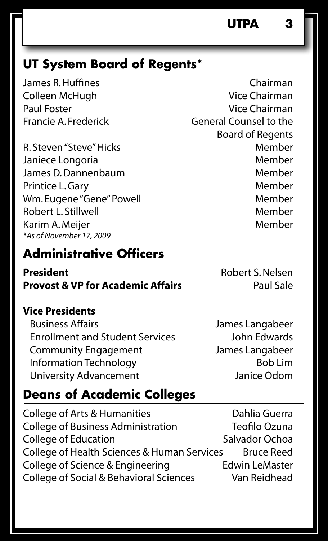## **UT System Board of Regents\***

R. Steven "Steve" Hicks Member Janiece Longoria and a member of Member James D. Dannenbaum Member Printice L. Gary **Member** Member Wm. Eugene "Gene" Powell Member Robert L. Stillwell Member Karim A. Meijer Member *\*As of November 17, 2009*

## **Administrative Officers**

**President** Robert S. Nelsen **Provost & VP for Academic Affairs** Paul Sale

### **Vice Presidents**

 Business Affairs James Langabeer Enrollment and Student Services John Edwards Community Engagement James Langabeer Information Technology **Bob Lim** University Advancement **Janice Odom** 

## **Deans of Academic Colleges**

College of Arts & Humanities Dahlia Guerra College of Business Administration Teofilo Ozuna College of Education Salvador Ochoa College of Health Sciences & Human Services Bruce Reed College of Science & Engineering Edwin LeMaster College of Social & Behavioral Sciences Van Reidhead

James R. Huffines Chairman Colleen McHugh Vice Chairman Paul Foster **Vice Chairman** Francie A. Frederick General Counsel to the Board of Regents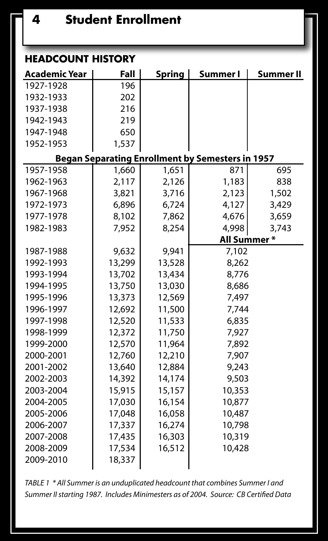| <b>HEADCOUNT HISTORY</b>                                |        |               |             |           |  |  |  |  |  |  |  |
|---------------------------------------------------------|--------|---------------|-------------|-----------|--|--|--|--|--|--|--|
| <b>Academic Year</b>                                    | Fall   | <b>Spring</b> | Summer I    | Summer II |  |  |  |  |  |  |  |
| 1927-1928                                               | 196    |               |             |           |  |  |  |  |  |  |  |
| 1932-1933                                               | 202    |               |             |           |  |  |  |  |  |  |  |
| 1937-1938                                               | 216    |               |             |           |  |  |  |  |  |  |  |
| 1942-1943                                               | 219    |               |             |           |  |  |  |  |  |  |  |
| 1947-1948                                               | 650    |               |             |           |  |  |  |  |  |  |  |
| 1952-1953                                               | 1,537  |               |             |           |  |  |  |  |  |  |  |
| <b>Began Separating Enrollment by Semesters in 1957</b> |        |               |             |           |  |  |  |  |  |  |  |
| 1957-1958                                               | 1,660  | 1,651         | 871         | 695       |  |  |  |  |  |  |  |
| 1962-1963                                               | 2,117  | 2,126         | 1,183       | 838       |  |  |  |  |  |  |  |
| 1967-1968                                               | 3,821  | 3,716         | 2,123       | 1,502     |  |  |  |  |  |  |  |
| 1972-1973                                               | 6,896  | 6,724         | 4,127       | 3,429     |  |  |  |  |  |  |  |
| 1977-1978                                               | 8,102  | 7,862         | 4,676       | 3,659     |  |  |  |  |  |  |  |
| 1982-1983                                               | 7,952  | 8,254         | 4,998       | 3,743     |  |  |  |  |  |  |  |
|                                                         |        |               | All Summer* |           |  |  |  |  |  |  |  |
| 1987-1988                                               | 9,632  | 9,941         | 7,102       |           |  |  |  |  |  |  |  |
| 1992-1993                                               | 13,299 | 13,528        | 8,262       |           |  |  |  |  |  |  |  |
| 1993-1994                                               | 13,702 | 13,434        | 8,776       |           |  |  |  |  |  |  |  |
| 1994-1995                                               | 13,750 | 13,030        | 8,686       |           |  |  |  |  |  |  |  |
| 1995-1996                                               | 13,373 | 12,569        | 7,497       |           |  |  |  |  |  |  |  |
| 1996-1997                                               | 12,692 | 11,500        | 7,744       |           |  |  |  |  |  |  |  |
| 1997-1998                                               | 12,520 | 11,533        | 6,835       |           |  |  |  |  |  |  |  |
| 1998-1999                                               | 12,372 | 11,750        | 7,927       |           |  |  |  |  |  |  |  |
| 1999-2000                                               | 12,570 | 11,964        | 7,892       |           |  |  |  |  |  |  |  |
| 2000-2001                                               | 12,760 | 12,210        | 7,907       |           |  |  |  |  |  |  |  |
| 2001-2002                                               | 13,640 | 12,884        | 9,243       |           |  |  |  |  |  |  |  |
| 2002-2003                                               | 14,392 | 14,174        | 9,503       |           |  |  |  |  |  |  |  |
| 2003-2004                                               | 15,915 | 15,157        | 10,353      |           |  |  |  |  |  |  |  |
| 2004-2005                                               | 17,030 | 16,154        | 10,877      |           |  |  |  |  |  |  |  |
| 2005-2006                                               | 17,048 | 16,058        | 10,487      |           |  |  |  |  |  |  |  |
| 2006-2007                                               | 17,337 | 16,274        | 10,798      |           |  |  |  |  |  |  |  |
| 2007-2008                                               | 17,435 | 16,303        | 10,319      |           |  |  |  |  |  |  |  |
| 2008-2009                                               | 17,534 | 16,512        | 10,428      |           |  |  |  |  |  |  |  |
| 2009-2010                                               | 18,337 |               |             |           |  |  |  |  |  |  |  |
|                                                         |        |               |             |           |  |  |  |  |  |  |  |

*TABLE 1 \* All Summer is an unduplicated headcount that combines Summer I and Summer II starting 1987. Includes Minimesters as of 2004. Source: CB Certified Data*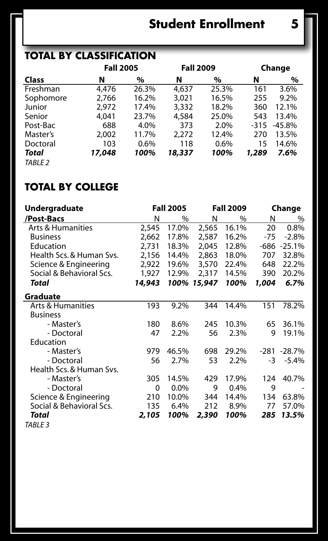## **Student Enrollment 5**

## **Total by Classification**

|                    |        | <b>Fall 2005</b> |        | Change |        | <b>Fall 2009</b> |  |  |
|--------------------|--------|------------------|--------|--------|--------|------------------|--|--|
| Class              | N      | %                | N      | %      | N      | $\%$             |  |  |
| Freshman           | 4,476  | 26.3%            | 4,637  | 25.3%  | 161    | 3.6%             |  |  |
| Sophomore          | 2,766  | 16.2%            | 3,021  | 16.5%  | 255    | 9.2%             |  |  |
| Junior             | 2.972  | 17.4%            | 3,332  | 18.2%  | 360    | 12.1%            |  |  |
| Senior             | 4,041  | 23.7%            | 4,584  | 25.0%  | 543    | 13.4%            |  |  |
| Post-Bac           | 688    | 4.0%             | 373    | 2.0%   | $-315$ | $-45.8%$         |  |  |
| Master's           | 2.002  | 11.7%            | 2.272  | 12.4%  | 270    | 13.5%            |  |  |
| Doctoral           | 103    | 0.6%             | 118    | 0.6%   | 15     | 14.6%            |  |  |
| Total              | 17,048 | 100%             | 18,337 | 100%   | 1,289  | 7.6%             |  |  |
| TABLE <sub>2</sub> |        |                  |        |        |        |                  |  |  |

### **Total by College**

| Undergraduate                |        | <b>Fall 2005</b> |        | <b>Fall 2009</b> | Change |             |  |
|------------------------------|--------|------------------|--------|------------------|--------|-------------|--|
| /Post-Bacs                   | N      | %                | N      | %                | N      | %           |  |
| <b>Arts &amp; Humanities</b> | 2,545  | 17.0%            | 2,565  | 16.1%            | 20     | 0.8%        |  |
| <b>Business</b>              | 2,662  | 17.8%            | 2,587  | 16.2%            | $-75$  | $-2.8%$     |  |
| Education                    | 2,731  | 18.3%            | 2,045  | 12.8%            | $-686$ | $-25.1%$    |  |
| Health Scs. & Human Svs.     | 2,156  | 14.4%            | 2,863  | 18.0%            | 707    | 32.8%       |  |
| Science & Engineering        | 2,922  | 19.6%            | 3,570  | 22.4%            | 648    | 22.2%       |  |
| Social & Behavioral Scs.     | 1,927  | 12.9%            | 2,317  | 14.5%            | 390    | 20.2%       |  |
| Total                        | 14,943 | 100%             | 15,947 | 100%             | 1,004  | 6.7%        |  |
| Graduate                     |        |                  |        |                  |        |             |  |
| Arts & Humanities            | 193    | 9.2%             | 344    | 14.4%            | 151    | 78.2%       |  |
| <b>Business</b>              |        |                  |        |                  |        |             |  |
| - Master's                   | 180    | 8.6%             | 245    | 10.3%            | 65     | 36.1%       |  |
| - Doctoral                   | 47     | 2.2%             | 56     | 2.3%             | 9      | 19.1%       |  |
| Education                    |        |                  |        |                  |        |             |  |
| - Master's                   | 979    | 46.5%            | 698    | 29.2%            |        | -281 -28.7% |  |
| - Doctoral                   | 56     | 2.7%             | 53     | 2.2%             | -3     | $-5.4%$     |  |
| Health Scs. & Human Svs.     |        |                  |        |                  |        |             |  |
| - Master's                   | 305    | 14.5%            | 429    | 17.9%            | 124    | 40.7%       |  |
| - Doctoral                   | 0      | 0.0%             | 9      | 0.4%             | 9      |             |  |
| Science & Engineering        | 210    | 10.0%            | 344    | 14.4%            | 134    | 63.8%       |  |
| Social & Behavioral Scs.     | 135    | 6.4%             | 212    | 8.9%             | 77     | 57.0%       |  |
| Total                        | 2,105  | 100%             | 2,390  | 100%             | 285    | 13.5%       |  |
| <b>TABLE 3</b>               |        |                  |        |                  |        |             |  |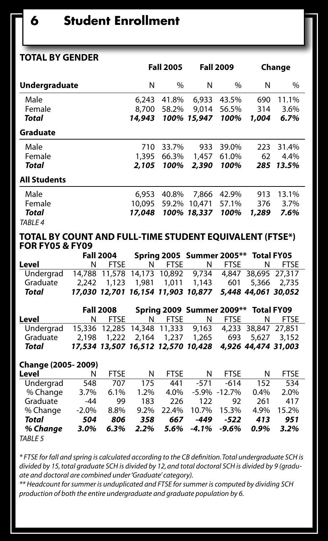| <b>TOTAL BY GENDER</b> |                  |               |             |                  |        |       |
|------------------------|------------------|---------------|-------------|------------------|--------|-------|
|                        | <b>Fall 2005</b> |               |             | <b>Fall 2009</b> | Change |       |
| Undergraduate          | N                | $\frac{0}{0}$ | N           | $\%$             | N      | %     |
| Male                   | 6,243            | 41.8%         | 6,933       | 43.5%            | 690    | 11.1% |
| Female                 | 8,700            | 58.2%         | 9,014       | 56.5%            | 314    | 3.6%  |
| Total                  | 14,943           |               | 100% 15,947 | 100%             | 1,004  | 6.7%  |
| Graduate               |                  |               |             |                  |        |       |
| Male                   | 710              | 33.7%         | 933         | 39.0%            | 223    | 31.4% |
| Female                 | 1,395            | 66.3%         | 1,457       | 61.0%            | 62     | 4.4%  |
| Total                  | 2,105            | 100%          | 2,390       | 100%             | 285    | 13.5% |
| <b>All Students</b>    |                  |               |             |                  |        |       |
| Male                   | 6,953            | 40.8%         | 7.866       | 42.9%            | 913    | 13.1% |
| Female                 | 10,095           | 59.2%         | 10,471      | 57.1%            | 376    | 3.7%  |
| Total                  | 17,048           |               | 100% 18,337 | 100%             | 1,289  | 7.6%  |
| TABLE 4                |                  |               |             |                  |        |       |

**Total by Count and Full-time Student Equivalent (FTSE\*) for FY05 & FY09**

|           | Spring 2005 Summer 2005** Total FY05<br><b>Fall 2004</b> |  |        |                                                        |        |        |
|-----------|----------------------------------------------------------|--|--------|--------------------------------------------------------|--------|--------|
| Level     | N FTSF                                                   |  | N FTSF |                                                        | N FTSE | N FTSE |
| Underarad |                                                          |  |        | 14,788 11,578 14,173 10,892 9,734 4,847 38,695 27,317  |        |        |
| Graduate  |                                                          |  |        | 2.242 1.123 1.981 1.011 1.143 601 5.366 2.735          |        |        |
| Total     |                                                          |  |        | 17,030 12,701 16,154 11,903 10,877 5,448 44,061 30,052 |        |        |

|           | <b>Fall 2008</b> |  |        | Spring 2009 Summer 2009** Total FY09                   |        |        |  |
|-----------|------------------|--|--------|--------------------------------------------------------|--------|--------|--|
| Level     | N FTSF           |  | N FTSF |                                                        | N FTSF | N FTSF |  |
| Undergrad |                  |  |        | 15,336 12,285 14,348 11,333 9,163 4,233 38,847 27,851  |        |        |  |
| Graduate  |                  |  |        | 2.198 1.222 2.164 1.237 1.265 693 5.627 3.152          |        |        |  |
| Total     |                  |  |        | 17,534 13,507 16,512 12,570 10,428 4,926 44,474 31,003 |        |        |  |

| Change (2005-2009) |         |             |      |             |          |                  |      |             |  |
|--------------------|---------|-------------|------|-------------|----------|------------------|------|-------------|--|
| Level              | N       | <b>FTSE</b> | N    | <b>FTSE</b> | N        | <b>FTSE</b>      | N    | <b>FTSE</b> |  |
| Undergrad          | 548     | 707         | 175  | 441         | $-571$   | $-614$           | 152  | 534         |  |
| % Change           | 3.7%    | 6.1%        | 1.2% | 4.0%        |          | $-5.9\% -12.7\%$ | 0.4% | 2.0%        |  |
| Graduate           | -44     | 99          | 183  | 226         | 122      | 92               | 261  | 417         |  |
| % Change           | $-2.0%$ | 8.8%        | 9.2% | 22.4%       | 10.7%    | 15.3%            | 4.9% | 15.2%       |  |
| Total              | 504     | 806         | 358  | 667         | -449     | -522             | 413  | 951         |  |
| % Change           | $3.0\%$ | 6.3%        | 2.2% | 5.6%        | $-4.1\%$ | $-9.6%$          | 0.9% | 3.2%        |  |
| <b>TABLE 5</b>     |         |             |      |             |          |                  |      |             |  |

*\* FTSE for fall and spring is calculated according to the CB definition. Total undergraduate SCH is divided by 15, total graduate SCH is divided by 12, and total doctoral SCH is divided by 9 (graduate and doctoral are combined under 'Graduate' category).* 

*\*\* Headcount for summer is unduplicated and FTSE for summer is computed by dividing SCH production of both the entire undergraduate and graduate population by 6.*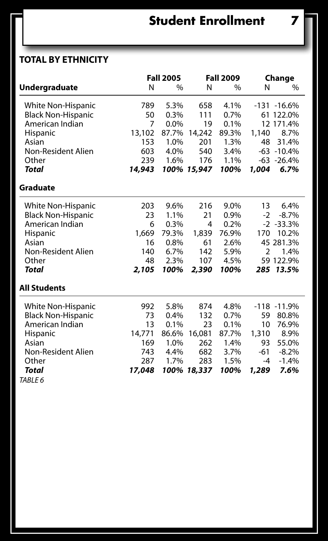## **Total by Ethnicity**

|                           |        | <b>Fall 2005</b> |             | <b>Fall 2009</b> | Change |                |
|---------------------------|--------|------------------|-------------|------------------|--------|----------------|
| Undergraduate             | N      | $\%$             | N           | %                | N      | $\%$           |
| White Non-Hispanic        | 789    | 5.3%             | 658         | 4.1%             |        | $-131 - 16.6%$ |
| <b>Black Non-Hispanic</b> | 50     | 0.3%             | 111         | 0.7%             |        | 61 122.0%      |
| American Indian           | 7      | $0.0\%$          | 19          | 0.1%             |        | 12 171.4%      |
| Hispanic                  | 13,102 | 87.7%            | 14,242      | 89.3%            | 1,140  | 8.7%           |
| Asian                     | 153    | 1.0%             | 201         | 1.3%             | 48     | 31.4%          |
| Non-Resident Alien        | 603    | 4.0%             | 540         | 3.4%             |        | $-63 - 10.4%$  |
| Other                     | 239    | 1.6%             | 176         | 1.1%             |        | $-63 - 26.4%$  |
| Total                     | 14,943 |                  | 100% 15,947 | 100%             | 1,004  | 6.7%           |
| Graduate                  |        |                  |             |                  |        |                |
| White Non-Hispanic        | 203    | 9.6%             | 216         | 9.0%             | 13     | 6.4%           |
| <b>Black Non-Hispanic</b> | 23     | 1.1%             | 21          | 0.9%             | $-2$   | $-8.7%$        |
| American Indian           | 6      | 0.3%             | 4           | 0.2%             |        | $-2 - 33.3%$   |
| Hispanic                  | 1,669  | 79.3%            | 1,839       | 76.9%            | 170    | 10.2%          |
| Asian                     | 16     | 0.8%             | 61          | 2.6%             |        | 45 281.3%      |
| Non-Resident Alien        | 140    | 6.7%             | 142         | 5.9%             | 2      | 1.4%           |
| Other                     | 48     | 2.3%             | 107         | 4.5%             |        | 59 122.9%      |
| Total                     | 2,105  | 100%             | 2,390       | 100%             | 285    | 13.5%          |
| <b>All Students</b>       |        |                  |             |                  |        |                |
| White Non-Hispanic        | 992    | 5.8%             | 874         | 4.8%             | $-118$ | $-11.9%$       |
| <b>Black Non-Hispanic</b> | 73     | 0.4%             | 132         | 0.7%             | 59     | 80.8%          |
| American Indian           | 13     | 0.1%             | 23          | 0.1%             | 10     | 76.9%          |
| Hispanic                  | 14,771 | 86.6%            | 16,081      | 87.7%            | 1,310  | 8.9%           |
| Asian                     | 169    | 1.0%             | 262         | 1.4%             | 93     | 55.0%          |
| Non-Resident Alien        | 743    | 4.4%             | 682         | 3.7%             | -61    | $-8.2\%$       |
| Other                     | 287    | 1.7%             | 283         | 1.5%             | -4     | $-1.4%$        |
| Total                     | 17,048 |                  | 100% 18,337 | 100%             | 1,289  | 7.6%           |
| TABLE 6                   |        |                  |             |                  |        |                |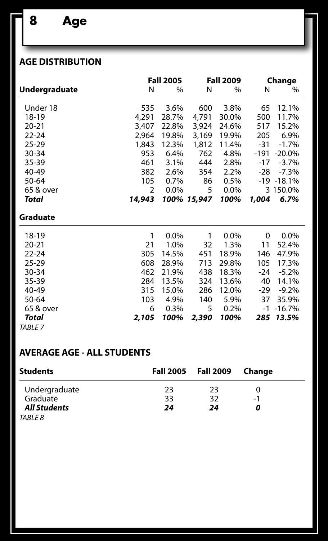### **Age Distribution**

|                    |        | <b>Fall 2005</b> |             |         | Change |               |
|--------------------|--------|------------------|-------------|---------|--------|---------------|
| Undergraduate      | N      | $\%$             | N           | $\%$    | N      | $\%$          |
| Under 18           | 535    | 3.6%             | 600         | 3.8%    | 65     | 12.1%         |
| 18-19              | 4,291  | 28.7%            | 4,791       | 30.0%   | 500    | 11.7%         |
| $20 - 21$          | 3,407  | 22.8%            | 3,924       | 24.6%   | 517    | 15.2%         |
| $22 - 24$          | 2,964  | 19.8%            | 3,169       | 19.9%   | 205    | 6.9%          |
| $25 - 29$          | 1,843  | 12.3%            | 1,812       | 11.4%   | $-31$  | $-1.7%$       |
| 30-34              | 953    | 6.4%             | 762         | 4.8%    | -191   | $-20.0\%$     |
| 35-39              | 461    | 3.1%             | 444         | 2.8%    | $-17$  | $-3.7%$       |
| 40-49              | 382    | 2.6%             | 354         | 2.2%    | -28    | $-7.3%$       |
| 50-64              | 105    | 0.7%             | 86          | 0.5%    |        | $-19 - 18.1%$ |
| 65 & over          | 2      | $0.0\%$          | 5           | $0.0\%$ |        | 3 150.0%      |
| Total              | 14,943 |                  | 100% 15,947 | 100%    | 1,004  | 6.7%          |
| Graduate           |        |                  |             |         |        |               |
| 18-19              | 1      | 0.0%             | 1           | 0.0%    | 0      | 0.0%          |
| $20 - 21$          | 21     | 1.0%             | 32          | 1.3%    | 11     | 52.4%         |
| $22 - 24$          | 305    | 14.5%            | 451         | 18.9%   | 146    | 47.9%         |
| $25 - 29$          | 608    | 28.9%            | 713         | 29.8%   | 105    | 17.3%         |
| $30 - 34$          | 462    | 21.9%            | 438         | 18.3%   | $-24$  | $-5.2%$       |
| 35-39              | 284    | 13.5%            | 324         | 13.6%   | 40     | 14.1%         |
| 40-49              | 315    | 15.0%            | 286         | 12.0%   | -29    | $-9.2%$       |
| 50-64              | 103    | 4.9%             | 140         | 5.9%    | 37     | 35.9%         |
| 65 & over          | 6      | 0.3%             | 5           | 0.2%    | -1     | $-16.7%$      |
| Total              | 2,105  | 100%             | 2,390       | 100%    | 285    | 13.5%         |
| TABLE <sub>7</sub> |        |                  |             |         |        |               |

### **Average Age - All Students**

| <b>Students</b>     |    | Fall 2005 Fall 2009 Change |    |  |
|---------------------|----|----------------------------|----|--|
| Undergraduate       | 23 | 23                         |    |  |
| Graduate            | 33 | 32                         | -1 |  |
| <b>All Students</b> | 24 | 24                         |    |  |
| TABLE 8             |    |                            |    |  |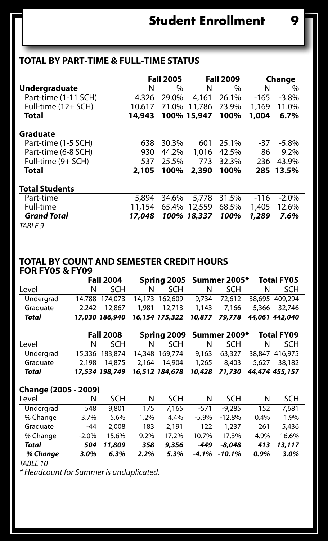## **Total by Part-time & Full-time Status**

|                       |        | <b>Fall 2005</b> |             | <b>Fall 2009</b> | Change |           |
|-----------------------|--------|------------------|-------------|------------------|--------|-----------|
| <b>Undergraduate</b>  | N      | $\%$             | N           | $\%$             | N      | $\%$      |
| Part-time (1-11 SCH)  | 4,326  | 29.0%            | 4.161       | 26.1%            | $-165$ | $-3.8%$   |
| Full-time (12+ SCH)   | 10.617 | 71.0%            | 11,786      | 73.9%            | 1,169  | 11.0%     |
| Total                 | 14,943 |                  | 100% 15,947 | 100%             | 1,004  | 6.7%      |
| Graduate              |        |                  |             |                  |        |           |
| Part-time (1-5 SCH)   | 638    | 30.3%            | 601         | 25.1%            | -37    | $-5.8\%$  |
| Part-time (6-8 SCH)   | 930    | 44.2%            | 1,016       | 42.5%            | 86     | 9.2%      |
| Full-time (9+ SCH)    | 537    | 25.5%            | 773         | 32.3%            | 236    | 43.9%     |
| Total                 | 2.105  | 100%             | 2,390       | 100%             |        | 285 13.5% |
| <b>Total Students</b> |        |                  |             |                  |        |           |
| Part-time             | 5,894  | 34.6%            | 5.778       | 31.5%            | $-116$ | $-2.0\%$  |
| Full-time             | 11,154 | 65.4%            | 12,559      | 68.5%            | 1,405  | 12.6%     |
| <b>Grand Total</b>    | 17.048 |                  | 100% 18,337 | 100%             | 1,289  | 7.6%      |
| TABLE 9               |        |                  |             |                  |        |           |

#### **Total by Count and Semester Credit Hours for FY05 & FY09**

|           | <b>Fall 2004</b> |              |   |                                                            |   | Spring 2005 Summer 2005* |   | <b>Total FY05</b> |  |
|-----------|------------------|--------------|---|------------------------------------------------------------|---|--------------------------|---|-------------------|--|
| Level     | N.               | <b>SCH</b>   | N | SCH.                                                       | N | SCH.                     | N | <b>SCH</b>        |  |
| Undergrad |                  |              |   | 14.788 174.073 14.173 162.609 9.734 72.612 38.695 409.294  |   |                          |   |                   |  |
| Graduate  |                  | 2.242 12.867 |   | 1.981 12.713 1.143 7.166 5.366 32.746                      |   |                          |   |                   |  |
| Total     |                  |              |   | 17,030 186,940 16,154 175,322 10,877 79,778 44,061 442,040 |   |                          |   |                   |  |

|           | <b>Fall 2008</b> |              |    |                                                            |   | Spring 2009 Summer 2009*    |   | <b>Total FY09</b> |  |
|-----------|------------------|--------------|----|------------------------------------------------------------|---|-----------------------------|---|-------------------|--|
| Level     | N                | <b>SCH</b>   | N. | <b>SCH</b>                                                 | N | SCH.                        | N | <b>SCH</b>        |  |
| Undergrad |                  |              |    | 15,336 183,874 14,348 169,774                              |   | 9.163 63.327 38.847 416.975 |   |                   |  |
| Graduate  |                  | 2.198 14.875 |    | 2.164 14.904                                               |   | 1.265 8.403                 |   | 5.627 38.182      |  |
| Total     |                  |              |    | 17,534 198,749 16,512 184,678 10,428 71,730 44,474 455,157 |   |                             |   |                   |  |

#### **Change (2005 - 2009)**

| Level     | N       | SCH    | N    | SCH   | N        | SCH      | N    | SCH    |
|-----------|---------|--------|------|-------|----------|----------|------|--------|
| Undergrad | 548     | 9,801  | 175  | 7.165 | $-571$   | $-9.285$ | 152  | 7.681  |
| % Change  | 3.7%    | 5.6%   | 1.2% | 4.4%  | $-5.9%$  | $-12.8%$ | 0.4% | 1.9%   |
| Graduate  | $-44$   | 2.008  | 183  | 2.191 | 122      | 1.237    | 261  | 5.436  |
| % Change  | $-2.0%$ | 15.6%  | 9.2% | 17.2% | 10.7%    | 17.3%    | 4.9% | 16.6%  |
| Total     | 504     | 11,809 | 358  | 9,356 | $-449$   | $-8.048$ | 413  | 13,117 |
| % Change  | 3.0%    | 6.3%   | 2.2% | 5.3%  | $-4.1\%$ | $-10.1%$ | 0.9% | 3.0%   |
|           |         |        |      |       |          |          |      |        |

*TABLE 10 \* Headcount for Summer is unduplicated.*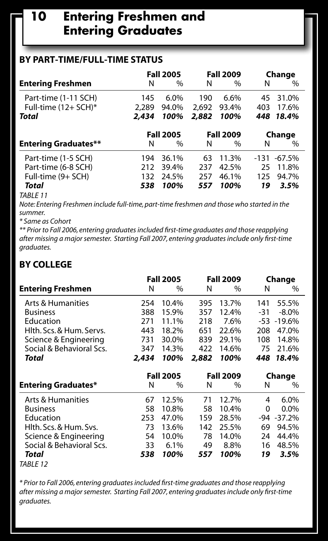## **10 Entering Freshmen and Entering Graduates**

### **By Part-time/Full-time Status**

|                             | <b>Fall 2005</b> |               | <b>Fall 2009</b> |               | Change |               |
|-----------------------------|------------------|---------------|------------------|---------------|--------|---------------|
| <b>Entering Freshmen</b>    | N                | $\frac{0}{0}$ | N                | $\frac{0}{0}$ | N      | $\frac{0}{0}$ |
| Part-time (1-11 SCH)        | 145              | 6.0%          | 190              | 6.6%          | 45     | 31.0%         |
| Full-time $(12 + SCH)^*$    | 2,289            | 94.0%         | 2.692            | 93.4%         | 403    | 17.6%         |
| Total                       | 2,434            | 100%          | 2,882            | 100%          | 448    | 18.4%         |
|                             | <b>Fall 2005</b> |               | <b>Fall 2009</b> |               | Change |               |
| <b>Entering Graduates**</b> | Ν                | $\frac{0}{0}$ | N                | $\%$          | N      | $\%$          |
| Part-time (1-5 SCH)         | 194              | 36.1%         | 63               | 11.3%         | -131   | $-67.5%$      |
| Part-time (6-8 SCH)         | 212              | 39.4%         | 237              | 42.5%         | 25     | 11.8%         |
| Full-time (9+ SCH)          | 132              | 24.5%         | 257              | 46.1%         | 125    | 94.7%         |
| Total                       | 538              | 100%          | 557              | 100%          | 19     | 3.5%          |
| _ _                         |                  |               |                  |               |        |               |

#### *TABLE 11*

*Note: Entering Freshmen include full-time, part-time freshmen and those who started in the summer.* 

*\* Same as Cohort*

*\*\* Prior to Fall 2006, entering graduates included first-time graduates and those reapplying after missing a major semester. Starting Fall 2007, entering graduates include only first-time graduates.*

#### **By College**

|                            | <b>Fall 2005</b> |       |                  | <b>Fall 2009</b> | Change |            |  |
|----------------------------|------------------|-------|------------------|------------------|--------|------------|--|
| <b>Entering Freshmen</b>   | N                | $\%$  | N                | $\%$             | N      | $\%$       |  |
| Arts & Humanities          | 254              | 10.4% | 395              | 13.7%            | 141    | 55.5%      |  |
| <b>Business</b>            | 388              | 15.9% | 357              | 12.4%            | -31    | $-8.0\%$   |  |
| Education                  | 271              | 11.1% | 218              | 7.6%             | -53    | $-19.6%$   |  |
| Hlth. Scs. & Hum. Servs.   | 443              | 18.2% | 651              | 22.6%            | 208    | 47.0%      |  |
| Science & Engineering      | 731              | 30.0% | 839              | 29.1%            | 108    | 14.8%      |  |
| Social & Behavioral Scs.   | 347              | 14.3% | 422              | 14.6%            | 75     | 21.6%      |  |
| Total                      | 2,434            | 100%  | 2,882            | 100%             | 448    | 18.4%      |  |
|                            | <b>Fall 2005</b> |       | <b>Fall 2009</b> |                  | Change |            |  |
| <b>Entering Graduates*</b> | N                | $\%$  | N                | $\%$             | N      | $\%$       |  |
| Arts & Humanities          | 67               | 12.5% | 71               | 12.7%            | 4      | 6.0%       |  |
| <b>Business</b>            | 58               | 10.8% | 58               | 10.4%            | 0      | $0.0\%$    |  |
|                            |                  |       |                  |                  |        |            |  |
| Education                  | 253              | 47.0% | 159              | 28.5%            |        | -94 -37.2% |  |
| Hlth. Scs. & Hum. Svs.     | 73               | 13.6% | 142              | 25.5%            | 69     | 94.5%      |  |
| Science & Engineering      | 54               | 10.0% | 78               | 14.0%            | 24     | 44.4%      |  |
| Social & Behavioral Scs.   | 33               | 6.1%  | 49               | 8.8%             | 16     | 48.5%      |  |
| Total                      | 538              | 100%  | 557              | 100%             | 19     | 3.5%       |  |

*\* Prior to Fall 2006, entering graduates included first-time graduates and those reapplying after missing a major semester. Starting Fall 2007, entering graduates include only first-time graduates.*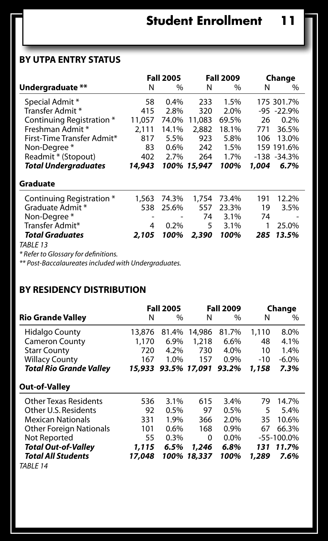### **By UTPA Entry Status**

|                             |        | <b>Fall 2005</b> |             | <b>Fall 2009</b> |       | Change         |
|-----------------------------|--------|------------------|-------------|------------------|-------|----------------|
| Undergraduate **            | Ν      | $\frac{0}{0}$    | Ν           | $\frac{0}{0}$    | N     | $\frac{0}{0}$  |
| Special Admit *             | 58     | $0.4\%$          | 233         | 1.5%             |       | 175 301.7%     |
| Transfer Admit *            | 415    | 2.8%             | 320         | 2.0%             |       | $-95 - 22.9%$  |
| Continuing Registration *   | 11.057 | 74.0%            | 11,083      | 69.5%            | 26    | $0.2\%$        |
| Freshman Admit *            | 2.111  | 14.1%            | 2,882       | 18.1%            | 771   | 36.5%          |
| First-Time Transfer Admit*  | 817    | 5.5%             | 923         | 5.8%             | 106   | 13.0%          |
| Non-Degree*                 | 83     | $0.6\%$          | 242         | 1.5%             |       | 159 191.6%     |
| Readmit * (Stopout)         | 402    | 2.7%             | 264         | 1.7%             |       | $-138 - 34.3%$ |
| <b>Total Undergraduates</b> | 14,943 |                  | 100% 15,947 | 100%             | 1.004 | 6.7%           |

| Graduate |  |
|----------|--|
|----------|--|

| Continuing Registration * | 1,563 74.3% 1,754 73.4%    |    |         |    | 191 12.2% |
|---------------------------|----------------------------|----|---------|----|-----------|
| Graduate Admit *          | 538 25.6% 557 23.3%        |    |         | 19 | $3.5\%$   |
| Non-Degree *              | and the state of the state | 74 | $3.1\%$ | 74 |           |
| Transfer Admit*           | 4 0.2%                     |    | 5 3.1%  |    | 1 25.0%   |
| <b>Total Graduates</b>    | 2,105 100% 2,390 100%      |    |         |    | 285 13.5% |
| TABLE 13                  |                            |    |         |    |           |

*\* Refer to Glossary for definitions.* 

*\*\* Post-Baccalaureates included with Undergraduates.*

#### **By Residency Distribution**

|                                | <b>Fall 2005</b> |         |              | <b>Fall 2009</b> | Change |                |
|--------------------------------|------------------|---------|--------------|------------------|--------|----------------|
| <b>Rio Grande Valley</b>       | Ν                | %       | N            | $\frac{0}{0}$    | N      | $\frac{0}{0}$  |
| Hidalgo County                 | 13,876           | 81.4%   | 14,986       | 81.7%            | 1,110  | 8.0%           |
| <b>Cameron County</b>          | 1,170            | 6.9%    | 1,218        | 6.6%             | 48     | 4.1%           |
| <b>Starr County</b>            | 720              | 4.2%    | 730          | 4.0%             | 10     | 1.4%           |
| <b>Willacy County</b>          | 167              | 1.0%    | 157          | 0.9%             | $-10$  | $-6.0%$        |
| Total Rio Grande Valley        | 15,933           |         | 93.5% 17,091 | 93.2%            | 1,158  | 7.3%           |
| Out-of-Valley                  |                  |         |              |                  |        |                |
| <b>Other Texas Residents</b>   | 536              | 3.1%    | 615          | 3.4%             | 79     | 14.7%          |
| Other U.S. Residents           | 92               | $0.5\%$ | 97           | $0.5\%$          | 5      | 5.4%           |
| <b>Mexican Nationals</b>       | 331              | 1.9%    | 366          | 2.0%             | 35     | 10.6%          |
| <b>Other Foreign Nationals</b> | 101              | $0.6\%$ | 168          | $0.9\%$          | 67     | 66.3%          |
| Not Reported                   | 55               | 0.3%    | 0            | 0.0%             |        | $-55 - 100.0%$ |
| Total Out-of-Valley            | 1,115            | 6.5%    | 1,246        | 6.8%             | 131    | 11.7%          |
| Total All Students             | 17,048           | 100%    | 18,337       | 100%             | 1,289  | 7.6%           |
| TABLE 14                       |                  |         |              |                  |        |                |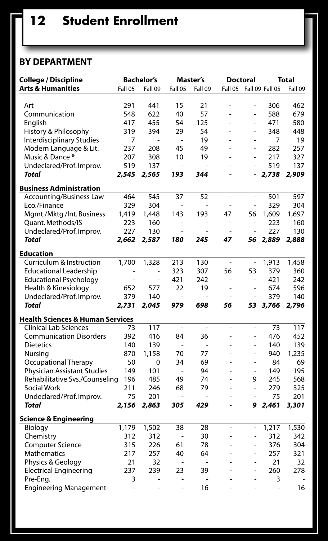### **By Department**

| College / Discipline                        |         | <b>Bachelor's</b>            |                | Master's      |    | <b>Doctoral</b> |                           | Total   |
|---------------------------------------------|---------|------------------------------|----------------|---------------|----|-----------------|---------------------------|---------|
| <b>Arts &amp; Humanities</b>                | Fall 05 | Fall 09                      | Fall 05        | Fall 09       |    |                 | Fall 05  Fall 09  Fall 05 | Fall 09 |
|                                             |         |                              |                |               |    |                 |                           |         |
| Art                                         | 291     | 441                          | 15             | 21            | L, | ÷,              | 306                       | 462     |
| Communication                               | 548     | 622                          | 40             | 57            | L, | ä,              | 588                       | 679     |
| English                                     | 417     | 455                          | 54             | 125           | ä, | ÷,              | 471                       | 580     |
| History & Philosophy                        | 319     | 394                          | 29             | 54            | ä, | ÷,              | 348                       | 448     |
| <b>Interdisciplinary Studies</b>            | 7       | ÷,                           | ÷,             | 19            | ä, | ä,              | 7                         | 19      |
| Modern Language & Lit.                      | 237     | 208                          | 45             | 49            | ä, | ä,              | 282                       | 257     |
| Music & Dance *                             | 207     | 308                          | 10             | 19            |    | ÷,              | 217                       | 327     |
| Undeclared/Prof. Improv.                    | 519     | 137                          | ÷              |               |    | ÷,              | 519                       | 137     |
| <b>Total</b>                                | 2,545   | 2,565                        | 193            | 344           |    |                 | 2,738                     | 2,909   |
| <b>Business Administration</b>              |         |                              |                |               |    |                 |                           |         |
| <b>Accounting/Business Law</b>              | 464     | 545                          | 37             | 52            | ÷, | ÷,              | 501                       | 597     |
| Eco./Finance                                | 329     | 304                          |                |               | ٠  | ÷,              | 329                       | 304     |
| Mgmt./Mktg./Int. Business                   | 1,419   | 1,448                        | 143            | 193           | 47 | 56              | 1,609                     | 1,697   |
| Quant. Methods/IS                           | 223     | 160                          | ÷              | $\frac{1}{2}$ | ÷  | $\frac{1}{2}$   | 223                       | 160     |
| Undeclared/Prof. Improv.                    | 227     | 130                          |                |               |    | ÷,              | 227                       | 130     |
| <b>Total</b>                                | 2,662   | 2,587                        | 180            | 245           | 47 | 56              | 2,889                     | 2,888   |
|                                             |         |                              |                |               |    |                 |                           |         |
| <b>Education</b>                            |         |                              |                |               |    |                 |                           |         |
| Curriculum & Instruction                    | 1,700   | 1,328                        | 213            | 130           | ÷, | $\frac{1}{2}$   | 1,913                     | 1,458   |
| <b>Educational Leadership</b>               |         |                              | 323            | 307           | 56 | 53              | 379                       | 360     |
| <b>Educational Psychology</b>               | ä,      | ÷,                           | 421            | 242           | ä, | ÷,              | 421                       | 242     |
| Health & Kinesiology                        | 652     | 577                          | 22             | 19            | ä, | ÷,              | 674                       | 596     |
| Undeclared/Prof. Improv.                    | 379     | 140                          |                |               |    | ä,              | 379                       | 140     |
| Total                                       | 2,731   | 2,045                        | 979            | 698           | 56 | 53              | 3,766                     | 2,796   |
| <b>Health Sciences &amp; Human Services</b> |         |                              |                |               |    |                 |                           |         |
| <b>Clinical Lab Sciences</b>                | 73      | 117                          | ٠              | ä,            | ÷, | ä,              | 73                        | 117     |
| <b>Communication Disorders</b>              | 392     | 416                          | 84             | 36            | L  | ä,              | 476                       | 452     |
| <b>Dietetics</b>                            | 140     | 139                          | ÷,             |               | ä, | ÷,              | 140                       | 139     |
| Nursing                                     | 870     | 1,158                        | 70             | 77            | L, | ÷               | 940                       | 1.235   |
| <b>Occupational Therapy</b>                 | 50      | 0                            | 34             | 69            | L, | ×,              | 84                        | 69      |
| <b>Physician Assistant Studies</b>          | 149     | 101                          | $\overline{a}$ | 94            | L, | ×,              | 149                       | 195     |
| Rehabilitative Svs./Counseling              | 196     | 485                          | 49             | 74            | L, | 9               | 245                       | 568     |
| <b>Social Work</b>                          | 211     | 246                          | 68             | 79            | ä, | ÷,              | 279                       | 325     |
| Undeclared/Prof. Improv.                    | 75      | 201                          | ä,             |               | ä, |                 | 75                        | 201     |
| Total                                       | 2,156   | 2,863                        | 305            | 429           | L, | 9               | 2,461                     | 3,301   |
|                                             |         |                              |                |               |    |                 |                           |         |
| <b>Science &amp; Engineering</b><br>Biology | 1,179   | 1,502                        | 38             | 28            | ä, | ÷               | 1,217                     | 1,530   |
|                                             | 312     | 312                          | ×,             | 30            | L, | ÷,              | 312                       | 342     |
| Chemistry                                   | 315     | 226                          | 61             | 78            | L  | ä,              | 376                       | 304     |
| <b>Computer Science</b>                     |         |                              |                |               |    |                 |                           |         |
| <b>Mathematics</b>                          | 217     | 257                          | 40             | 64            |    | ä,              | 257                       | 321     |
| Physics & Geology                           | 21      | 32                           | ä,             |               | ä, | ä,              | 21                        | 32      |
| <b>Electrical Engineering</b>               | 237     | 239                          | 23             | 39            |    | ä,              | 260                       | 278     |
| Pre-Eng.                                    | 3       | $\qquad \qquad \blacksquare$ | ٠              |               | L, | ÷               | 3                         |         |
| <b>Engineering Management</b>               | ÷,      |                              | Ĭ.             | 16            | ä, | ÷,              | ÷,                        | 16      |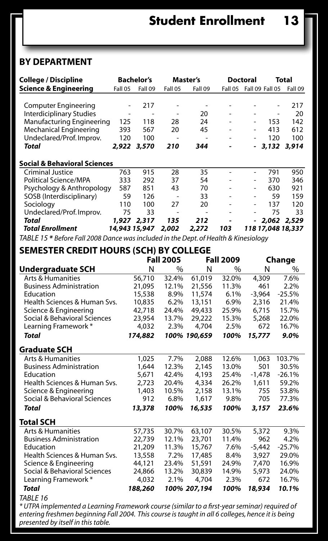### **By Department**

| <b>College / Discipline</b>             |         | <b>Bachelor's</b> |         | Master's |                          | <b>Doctoral</b> |                           | Total       |
|-----------------------------------------|---------|-------------------|---------|----------|--------------------------|-----------------|---------------------------|-------------|
| <b>Science &amp; Engineering</b>        | Fall 05 | Fall 09           | Fall 05 | Fall 09  |                          |                 | Fall 05  Fall 09  Fall 05 | Fall 09     |
|                                         |         |                   |         |          |                          |                 |                           |             |
| <b>Computer Engineering</b>             |         | 217               | ٠       | ٠        | ۰                        |                 |                           | 217         |
| <b>Interdiciplinary Studies</b>         | ٠       | ۰                 | ۰       | 20       | ۰                        |                 | ۰                         | 20          |
| Manufacturing Engineering               | 125     | 118               | 28      | 24       | ٠                        | ٠               | 153                       | 142         |
| Mechanical Engineering                  | 393     | 567               | 20      | 45       | $\overline{\phantom{a}}$ | ۰               | 413                       | 612         |
| Undeclared/Prof. Improv.                | 120     | 100               | ٠       | ۰        | ۰                        | ۰               | 120                       | 100         |
| Total                                   | 2.922   | 3,570             | 210     | 344      |                          |                 |                           | 3,132 3,914 |
| <b>Social &amp; Behavioral Sciences</b> |         |                   |         |          |                          |                 |                           |             |
| Criminal Justice                        | 763     | 915               | 28      | 35       | ٠                        |                 | 791                       | 950         |
| Political Science/MPA                   | 333     | 292               | 37      | 54       | -                        |                 | 370                       | 346         |
| Psychology & Anthropology               | 587     | 851               | 43      | 70       | ٠                        | ۰               | 630                       | 921         |
| SOSB (Interdisciplinary)                | 59      | 126               |         | 33       | ۰                        | ٠               | 59                        | 159         |
| Sociology                               | 110     | 100               | 27      | 20       | ۰                        | ٠               | 137                       | 120         |
| Undeclared/Prof. Improv.                | 75      | 33                | ٠       | ٠        | ۰                        |                 | 75                        | 33          |
| Total                                   | 1.927   | 2,317             | 135     | 212      |                          |                 | $-2.062$ 2.529            |             |
| <b>Total Enrollment</b>                 |         | 14,943 15,947     | 2,002   | 2.272    | 103                      |                 | 118 17.048 18.337         |             |

*TABLE 15 \* Before Fall 2008 Dance was included in the Dept. of Health & Kinesiology*

**Semester Credit Hours (SCH) by College**

| <b>Fall 2005</b><br><b>Fall 2009</b><br>Change |         |               |              |       |          |          |  |  |  |  |  |  |
|------------------------------------------------|---------|---------------|--------------|-------|----------|----------|--|--|--|--|--|--|
| Undergraduate SCH                              | N       | $\frac{0}{0}$ | N            | $\%$  | N        | %        |  |  |  |  |  |  |
| <b>Arts &amp; Humanities</b>                   | 56,710  | 32.4%         | 61,019       | 32.0% | 4,309    | 7.6%     |  |  |  |  |  |  |
| <b>Business Administration</b>                 | 21.095  | 12.1%         | 21,556       | 11.3% | 461      | 2.2%     |  |  |  |  |  |  |
| Education                                      | 15,538  | 8.9%          | 11,574       | 6.1%  | $-3.964$ | $-25.5%$ |  |  |  |  |  |  |
| Health Sciences & Human Sys.                   | 10,835  | 6.2%          | 13,151       | 6.9%  | 2,316    | 21.4%    |  |  |  |  |  |  |
| Science & Engineering                          | 42,718  | 24.4%         | 49.433       | 25.9% | 6,715    | 15.7%    |  |  |  |  |  |  |
| Social & Behavioral Sciences                   | 23.954  | 13.7%         | 29,222       | 15.3% | 5,268    | 22.0%    |  |  |  |  |  |  |
| Learning Framework *                           | 4.032   | 2.3%          | 4.704        | 2.5%  | 672      | 16.7%    |  |  |  |  |  |  |
| Total                                          | 174,882 |               | 100% 190.659 | 100%  | 15,777   | 9.0%     |  |  |  |  |  |  |
| Graduate SCH                                   |         |               |              |       |          |          |  |  |  |  |  |  |
| <b>Arts &amp; Humanities</b>                   | 1,025   | 7.7%          | 2,088        | 12.6% | 1.063    | 103.7%   |  |  |  |  |  |  |
| <b>Business Administration</b>                 | 1.644   | 12.3%         | 2.145        | 13.0% | 501      | 30.5%    |  |  |  |  |  |  |
| Education                                      | 5,671   | 42.4%         | 4,193        | 25.4% | $-1.478$ | $-26.1%$ |  |  |  |  |  |  |
| Health Sciences & Human Sys.                   | 2,723   | 20.4%         | 4,334        | 26.2% | 1,611    | 59.2%    |  |  |  |  |  |  |
| Science & Engineering                          | 1,403   | 10.5%         | 2,158        | 13.1% | 755      | 53.8%    |  |  |  |  |  |  |
| Social & Behavioral Sciences                   | 912     | 6.8%          | 1,617        | 9.8%  | 705      | 77.3%    |  |  |  |  |  |  |
| Total                                          | 13,378  | 100%          | 16,535       | 100%  | 3,157    | 23.6%    |  |  |  |  |  |  |
| Total SCH                                      |         |               |              |       |          |          |  |  |  |  |  |  |
| Arts & Humanities                              | 57,735  | 30.7%         | 63,107       | 30.5% | 5,372    | 9.3%     |  |  |  |  |  |  |
| <b>Business Administration</b>                 | 22.739  | 12.1%         | 23,701       | 11.4% | 962      | 4.2%     |  |  |  |  |  |  |
| Education                                      | 21,209  | 11.3%         | 15.767       | 7.6%  | $-5.442$ | $-25.7%$ |  |  |  |  |  |  |
| Health Sciences & Human Sys.                   | 13,558  | 7.2%          | 17,485       | 8.4%  | 3.927    | 29.0%    |  |  |  |  |  |  |
| Science & Engineering                          | 44.121  | 23.4%         | 51,591       | 24.9% | 7.470    | 16.9%    |  |  |  |  |  |  |
| Social & Behavioral Sciences                   | 24,866  | 13.2%         | 30.839       | 14.9% | 5.973    | 24.0%    |  |  |  |  |  |  |
| Learning Framework *                           | 4.032   | 2.1%          | 4.704        | 2.3%  | 672      | 16.7%    |  |  |  |  |  |  |
| <b>Total</b>                                   | 188,260 |               | 100% 207.194 | 100%  | 18,934   | 10.1%    |  |  |  |  |  |  |

TABLE 16<br>\* UTPA implemented a Learning Framework course (similar to a first-year seminar) required of<br>entering freshmen beginning Fall 2004. This course is taught in all 6 colleges, hence it is being<br>presented by itself in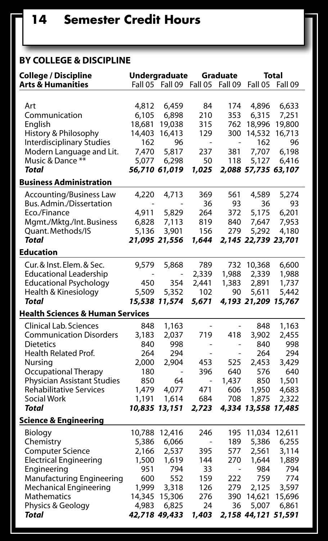### **By College & Discipline**

| <b>College / Discipline</b>                 |               | Undergraduate                |                              | Graduate                 | Total               |         |  |
|---------------------------------------------|---------------|------------------------------|------------------------------|--------------------------|---------------------|---------|--|
| <b>Arts &amp; Humanities</b>                |               | Fall 05 Fall 09              | Fall 05 Fall 09              |                          | Fall 05             | Fall 09 |  |
|                                             |               |                              |                              |                          |                     |         |  |
| Art                                         | 4,812         | 6,459                        | 84                           | 174                      | 4,896               | 6,633   |  |
| Communication                               | 6,105         | 6,898                        | 210                          | 353                      | 6,315               | 7,251   |  |
| English                                     | 18,681        | 19,038                       | 315                          | 762                      | 18,996              | 19,800  |  |
| History & Philosophy                        | 14,403        | 16,413                       | 129                          | 300                      | 14,532              | 16,713  |  |
| <b>Interdisciplinary Studies</b>            | 162           | 96                           | $\overline{a}$               | $\overline{a}$           | 162                 | 96      |  |
| Modern Language and Lit.                    | 7.470         | 5,817                        | 237                          | 381                      | 7,707               | 6,198   |  |
| Music & Dance **                            | 5,077         | 6,298                        | 50                           | 118                      | 5,127               | 6,416   |  |
| <b>Total</b>                                |               | 56,710 61,019                | 1,025                        |                          | 2,088 57,735 63,107 |         |  |
| <b>Business Administration</b>              |               |                              |                              |                          |                     |         |  |
| Accounting/Business Law                     | 4,220         | 4,713                        | 369                          | 561                      | 4,589               | 5,274   |  |
| Bus. Admin./Dissertation                    |               |                              | 36                           | 93                       | 36                  | 93      |  |
| Eco./Finance                                | 4,911         | 5,829                        | 264                          | 372                      | 5,175               | 6,201   |  |
| Mgmt./Mktg./Int. Business                   | 6,828         | 7,113                        | 819                          | 840                      | 7,647               | 7,953   |  |
| Quant. Methods/IS                           | 5,136         | 3,901                        | 156                          | 279                      | 5,292               | 4,180   |  |
| <b>Total</b>                                |               | 21,095 21,556                | 1,644                        |                          | 2,145 22,739 23,701 |         |  |
| <b>Education</b>                            |               |                              |                              |                          |                     |         |  |
|                                             |               |                              |                              |                          |                     |         |  |
| Cur. & Inst. Elem. & Sec.                   | 9,579         | 5,868                        | 789                          | 732                      | 10,368              | 6,600   |  |
| <b>Educational Leadership</b>               |               | $\overline{\phantom{0}}$     | 2,339                        | 1,988                    | 2,339               | 1,988   |  |
| <b>Educational Psychology</b>               | 450           | 354                          | 2,441                        | 1,383                    | 2,891               | 1,737   |  |
| Health & Kinesiology                        | 5,509         | 5,352                        | 102                          | 90                       | 5,611               | 5,442   |  |
| Total                                       |               | 15,538 11,574                | 5,671                        |                          | 4,193 21,209 15,767 |         |  |
| <b>Health Sciences &amp; Human Services</b> |               |                              |                              |                          |                     |         |  |
| <b>Clinical Lab. Sciences</b>               | 848           | 1,163                        | $\overline{a}$               | $\frac{1}{2}$            | 848                 | 1,163   |  |
| <b>Communication Disorders</b>              | 3,183         | 2,037                        | 719                          | 418                      | 3,902               | 2,455   |  |
| <b>Dietetics</b>                            | 840           | 998                          | $\overline{a}$               | $\overline{a}$           | 840                 | 998     |  |
| Health Related Prof.                        | 264           | 294                          | $\overline{a}$               | $\overline{\phantom{0}}$ | 264                 | 294     |  |
| Nursing                                     | 2,000         | 2,904                        | 453                          | 525                      | 2,453               | 3,429   |  |
| Occupational Therapy                        | 180           | $\qquad \qquad \blacksquare$ | 396                          | 640                      | 576                 | 640     |  |
| Physician Assistant Studies                 | 850           | 64                           | $\overline{\phantom{a}}$     | 1,437                    | 850                 | 1,501   |  |
| <b>Rehabilitative Services</b>              | 1,479         | 4,077                        | 471                          | 606                      | 1,950               | 4,683   |  |
| Social Work                                 | 1,191         | 1,614                        | 684                          | 708                      | 1,875               | 2,322   |  |
| Total                                       |               | 10,835 13,151                | 2,723                        |                          | 4,334 13,558 17,485 |         |  |
| Science & Engineering                       |               |                              |                              |                          |                     |         |  |
| Biology                                     | 10,788        | 12,416                       | 246                          | 195                      | 11,034              | 12,611  |  |
| Chemistry                                   | 5,386         | 6,066                        | $\qquad \qquad \blacksquare$ | 189                      | 5,386               | 6,255   |  |
| <b>Computer Science</b>                     | 2,166         | 2,537                        | 395                          | 577                      | 2,561               | 3,114   |  |
| <b>Electrical Engineering</b>               | 1,500         | 1,619                        | 144                          | 270                      | 1,644               | 1,889   |  |
| Engineering                                 | 951           | 794                          | 33                           | $\overline{\phantom{a}}$ | 984                 | 794     |  |
| <b>Manufacturing Engineering</b>            | 600           | 552                          | 159                          | 222                      | 759                 | 774     |  |
| <b>Mechanical Engineering</b>               | 1,999         | 3,318                        | 126                          | 279                      | 2,125               | 3,597   |  |
| Mathematics                                 | 14,345        | 15,306                       | 276                          | 390                      | 14,621              | 15,696  |  |
| Physics & Geology                           | 4,983         | 6,825                        | 24                           | 36                       | 5,007               | 6,861   |  |
| Total                                       | 42,718 49,433 |                              | 1,403                        |                          | 2,158 44,121 51,591 |         |  |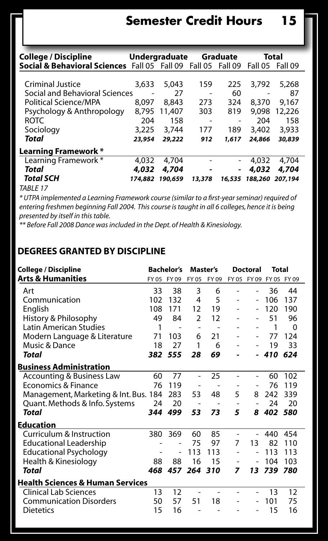| College / Discipline                                         |         | Undergraduate |                          | Graduate                 | Total           |                 |
|--------------------------------------------------------------|---------|---------------|--------------------------|--------------------------|-----------------|-----------------|
| Social & Behavioral Sciences Fall 05 Fall 09 Fall 05 Fall 09 |         |               |                          |                          |                 | Fall 05 Fall 09 |
|                                                              |         |               |                          |                          |                 |                 |
| Criminal Justice                                             | 3,633   | 5.043         | 159                      | 225                      | 3,792           | 5,268           |
| Social and Behavioral Sciences                               |         | 27            | $\overline{a}$           | 60                       | -               | 87              |
| Political Science/MPA                                        | 8.097   | 8,843         | 273                      | 324                      | 8,370           | 9.167           |
| Psychology & Anthropology                                    | 8,795   | 11,407        | 303                      | 819                      | 9,098           | 12,226          |
| <b>ROTC</b>                                                  | 204     | 158           | $\overline{\phantom{0}}$ | -                        | 204             | 158             |
| Sociology                                                    | 3,225   | 3,744         | 177                      | 189                      | 3,402           | 3,933           |
| Total                                                        | 23,954  | 29,222        | 912                      | 1,617                    | 24,866          | 30,839          |
| Learning Framework *                                         |         |               |                          |                          |                 |                 |
| Learning Framework *                                         | 4.032   | 4,704         | $\qquad \qquad -$        | $\overline{\phantom{0}}$ | 4.032           | 4,704           |
| Total                                                        | 4,032   | 4,704         | $\overline{\phantom{a}}$ |                          | 4,032           | 4,704           |
| <b>Total SCH</b>                                             | 174,882 | 190,659       | 13,378                   | 16,535                   | 188,260 207,194 |                 |
| TADIF17                                                      |         |               |                          |                          |                 |                 |

*TABLE 17*

*\* UTPA implemented a Learning Framework course (similar to a first-year seminar) required of entering freshmen beginning Fall 2004. This course is taught in all 6 colleges, hence it is being presented by itself in this table.* 

*\*\* Before Fall 2008 Dance was included in the Dept. of Health & Kinesiology.*

#### **Degrees Granted by Discipline**

| <b>College / Discipline</b>           |     | <b>Bachelor's</b> | Master's       |                |                | Doctoral       | Total      |             |
|---------------------------------------|-----|-------------------|----------------|----------------|----------------|----------------|------------|-------------|
| Arts & Humanities                     |     | FY 05 FY 09       | FY 05          | FY 09          |                | FY 05 FY 09    |            | FY 05 FY 09 |
| Art                                   | 33  | 38                | 3              | 6              | $\overline{a}$ | $\overline{a}$ | 36         | 44          |
| Communication                         | 102 | 132               | 4              | 5              |                | $\overline{a}$ | 106        | 137         |
| English                               | 108 | 171               | 12             | 19             |                | $\overline{a}$ | 120        | 190         |
| History & Philosophy                  | 49  | 84                | 2              | 12             |                | $\overline{a}$ | 51         | 96          |
| <b>Latin American Studies</b>         | 1   |                   | $\overline{a}$ |                |                |                | 1          | $\Omega$    |
| Modern Language & Literature          | 71  | 103               | 6              | 21             |                |                | 77         | 124         |
| Music & Dance                         | 18  | 27                | 1              | 6              |                |                | 19         | 33          |
| Total                                 |     | 382 555           | 28             | 69             |                |                | 410        | 624         |
| <b>Business Administration</b>        |     |                   |                |                |                |                |            |             |
| <b>Accounting &amp; Business Law</b>  | 60  | 77                | $\overline{a}$ | 25             | $\overline{a}$ | $\overline{a}$ | 60         | 102         |
| Economics & Finance                   | 76  | 119               |                | ۰              | $\overline{a}$ | $\overline{a}$ | 76         | 119         |
| Management, Marketing & Int. Bus. 184 |     | 283               | 53             | 48             | 5              | 8              | 242        | 339         |
| Quant. Methods & Info. Systems        | 24  | 20                |                |                |                | $\overline{a}$ | 24         | 20          |
| Total                                 | 344 | 499               | 53             | 73             | 5              | 8              | 402        | 580         |
| Education                             |     |                   |                |                |                |                |            |             |
| Curriculum & Instruction              | 380 | 369               | 60             | 85             | $\overline{a}$ | $\overline{a}$ | 440        | 454         |
| <b>Educational Leadership</b>         |     |                   | 75             | 97             | 7              | 13             | 82         | 110         |
| <b>Educational Psychology</b>         |     |                   | 113            | 113            |                | $\overline{a}$ | 113        | 113         |
| Health & Kinesiology                  | 88  | 88                | 16             | 15             |                | $\overline{a}$ | 104        | 103         |
| Total                                 | 468 |                   | 457 264 310    |                | 7              |                | 13 739 780 |             |
| Health Sciences & Human Services      |     |                   |                |                |                |                |            |             |
| <b>Clinical Lab Sciences</b>          | 13  | 12                |                | $\overline{a}$ | $\overline{a}$ | $\overline{a}$ | 13         | 12          |
| <b>Communication Disorders</b>        | 50  | 57                | 51             | 18             |                |                | 101        | 75          |
| <b>Dietetics</b>                      | 15  | 16                |                |                |                |                | 15         | 16          |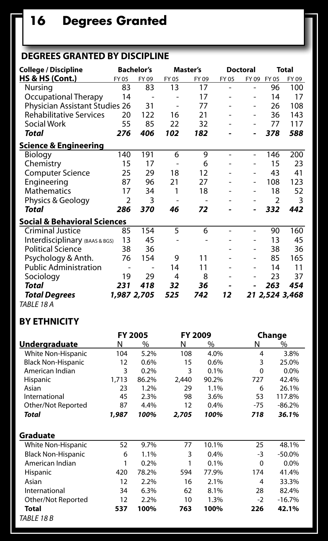## **16 Degrees Granted**

### **Degrees Granted by Discipline**

| <b>College / Discipline</b>             |                | <b>Bachelor's</b> |       | Master's |       | <b>Doctoral</b>   |                | <b>Total</b>   |
|-----------------------------------------|----------------|-------------------|-------|----------|-------|-------------------|----------------|----------------|
| <b>HS &amp; HS (Cont.)</b>              | FY 05          | FY 09             | FY 05 | FY 09    | FY 05 | FY 09             | FY 05          | FY 09          |
| Nursing                                 | 83             | 83                | 13    | 17       | ۰     |                   | 96             | 100            |
| Occupational Therapy                    | 14             |                   |       | 17       |       | $\overline{a}$    | 14             | 17             |
| Physician Assistant Studies 26          |                | 31                |       | 77       |       | $\qquad \qquad -$ | 26             | 108            |
| <b>Rehabilitative Services</b>          | 20             | 122               | 16    | 21       |       | $\overline{a}$    | 36             | 143            |
| <b>Social Work</b>                      | 55             | 85                | 22    | 32       |       | $\qquad \qquad -$ | 77             | 117            |
| Total                                   | 276            | 406               | 102   | 182      |       | -                 | 378            | 588            |
| Science & Engineering                   |                |                   |       |          |       |                   |                |                |
| <b>Biology</b>                          | 140            | 191               | 6     | 9        | ۰     | $\overline{a}$    | 146            | 200            |
| Chemistry                               | 15             | 17                |       | 6        |       | -                 | 15             | 23             |
| <b>Computer Science</b>                 | 25             | 29                | 18    | 12       |       | ۰                 | 43             | 41             |
| Engineering                             | 87             | 96                | 21    | 27       |       | -                 | 108            | 123            |
| <b>Mathematics</b>                      | 17             | 34                | 1     | 18       |       | -                 | 18             | 52             |
| Physics & Geology                       | $\overline{2}$ | 3                 |       |          |       |                   | $\overline{2}$ | 3              |
| Total                                   | 286            | 370               | 46    | 72       |       |                   | 332            | 442            |
| <b>Social &amp; Behavioral Sciences</b> |                |                   |       |          |       |                   |                |                |
| <b>Criminal Justice</b>                 | 85             | 154               | 5     | 6        |       | ۰                 | 90             | 160            |
| Interdisciplinary (BAAS & BGS)          | 13             | 45                |       |          |       |                   | 13             | 45             |
| <b>Political Science</b>                | 38             | 36                |       |          |       | ۰                 | 38             | 36             |
| Psychology & Anth.                      | 76             | 154               | 9     | 11       |       |                   | 85             | 165            |
| <b>Public Administration</b>            |                |                   | 14    | 11       |       | -                 | 14             | 11             |
| Sociology                               | 19             | 29                | 4     | 8        |       | -                 | 23             | 37             |
| <b>Total</b>                            | 231            | 418               | 32    | 36       |       |                   | 263            | 454            |
| <b>Total Degrees</b>                    | 1,987 2,705    |                   | 525   | 742      | 12    |                   |                | 21 2,524 3,468 |
| $\tau$                                  |                |                   |       |          |       |                   |                |                |

*TABLE 18 A*

### **By Ethnicity**

|                           |       | <b>FY 2005</b> | <b>FY 2009</b> |       |                | Change   |
|---------------------------|-------|----------------|----------------|-------|----------------|----------|
| Undergraduate             | Ν     | %              | N              | %     | N              | $\%$     |
| White Non-Hispanic        | 104   | 5.2%           | 108            | 4.0%  | $\overline{4}$ | 3.8%     |
| <b>Black Non-Hispanic</b> | 12    | 0.6%           | 15             | 0.6%  | 3              | 25.0%    |
| American Indian           | 3     | 0.2%           | 3              | 0.1%  | $\Omega$       | 0.0%     |
| Hispanic                  | 1.713 | 86.2%          | 2.440          | 90.2% | 727            | 42.4%    |
| Asian                     | 23    | 1.2%           | 29             | 1.1%  | 6              | 26.1%    |
| International             | 45    | 2.3%           | 98             | 3.6%  | 53             | 117.8%   |
| Other/Not Reported        | 87    | 4.4%           | 12             | 0.4%  | $-75$          | $-86.2%$ |
| Total                     | 1,987 | 100%           | 2,705          | 100%  | 718            | 36.1%    |
| Graduate                  |       |                |                |       |                |          |
| White Non-Hispanic        | 52    | 9.7%           | 77             | 10.1% | 25             | 48.1%    |
| <b>Black Non-Hispanic</b> | 6     | 1.1%           | 3              | 0.4%  | -3             | $-50.0%$ |
| American Indian           | 1     | 0.2%           | 1              | 0.1%  | $\Omega$       | 0.0%     |
| Hispanic                  | 420   | 78.2%          | 594            | 77.9% | 174            | 41.4%    |
| Asian                     | 12    | 2.2%           | 16             | 2.1%  | $\overline{4}$ | 33.3%    |
| International             | 34    | 6.3%           | 62             | 8.1%  | 28             | 82.4%    |
| Other/Not Reported        | 12    | 2.2%           | 10             | 1.3%  | $-2$           | $-16.7%$ |
| Total                     | 537   | 100%           | 763            | 100%  | 226            | 42.1%    |
| TABLE 18 B                |       |                |                |       |                |          |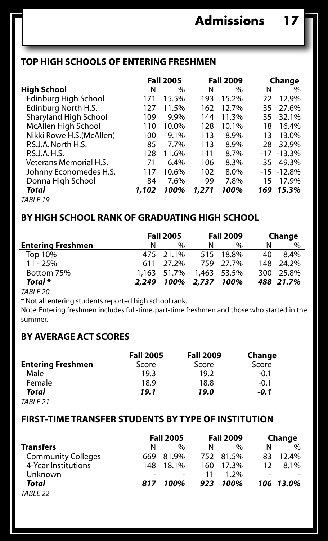### **Top High Schools of Entering Freshmen**

|                           | <b>Fall 2005</b> |       |       | <b>Fall 2009</b> | Change |               |  |
|---------------------------|------------------|-------|-------|------------------|--------|---------------|--|
| High School               | N                | $\%$  | N     | %                | N      | $\%$          |  |
| Edinburg High School      | 171              | 15.5% | 193   | 15.2%            | 22     | 12.9%         |  |
| Edinburg North H.S.       | 127              | 11.5% | 162   | 12.7%            | 35     | 27.6%         |  |
| Sharyland High School     | 109              | 9.9%  | 144   | 11.3%            | 35     | 32.1%         |  |
| McAllen High School       | 110              | 10.0% | 128   | 10.1%            | 18     | 16.4%         |  |
| Nikki Rowe H.S. (McAllen) | 100              | 9.1%  | 113   | 8.9%             | 13     | 13.0%         |  |
| P.S.J.A. North H.S.       | 85               | 7.7%  | 113   | 8.9%             | 28     | 32.9%         |  |
| P.S.J.A.H.S.              | 128              | 11.6% | 111   | 8.7%             |        | $-17 - 13.3%$ |  |
| Veterans Memorial H.S.    | 71               | 6.4%  | 106   | 8.3%             | 35     | 49.3%         |  |
| Johnny Economedes H.S.    | 117              | 10.6% | 102   | 8.0%             |        | $-15 - 12.8%$ |  |
| Donna High School         | 84               | 7.6%  | 99    | 7.8%             | 15     | 17.9%         |  |
| Total                     | 1,102            | 100%  | 1,271 | 100%             |        | 169 15.3%     |  |
| TABLE 19                  |                  |       |       |                  |        |               |  |

## **By High School Rank of Graduating High School**

|                          | <b>Fall 2005</b> |                         |   | <b>Fall 2009</b> | Change |           |
|--------------------------|------------------|-------------------------|---|------------------|--------|-----------|
| <b>Entering Freshmen</b> | N                | $\frac{0}{0}$           | N | $\%$             | N      | $\%$      |
| Top 10%                  |                  | 475 21.1%               |   | 515 18.8%        | 40     | 8.4%      |
| $11 - 25%$               |                  | 611 27.2%               |   | 759 27.7%        |        | 148 24.2% |
| Bottom 75%               |                  | 1.163 51.7% 1.463 53.5% |   |                  |        | 300 25.8% |
| Total *                  | 2.249            | 100% 2.737 100%         |   |                  |        | 488 21.7% |
| TADIE JO                 |                  |                         |   |                  |        |           |

*TABLE 20*

\* Not all entering students reported high school rank.

Note: Entering freshmen includes full-time, part-time freshmen and those who started in the summer.

### **By Average ACT Scores**

|                          | <b>Fall 2005</b> | <b>Fall 2009</b> | Change |  |
|--------------------------|------------------|------------------|--------|--|
| <b>Entering Freshmen</b> | Score            | Score            | Score  |  |
| Male                     | 19.3             | 19.2             | -0.1   |  |
| Female                   | 18.9             | 18.8             | -0.1   |  |
| Total                    | 19.1             | 19.0             | -0.1   |  |
| TARIF <sub>21</sub>      |                  |                  |        |  |

## **First-time Transfer Students by Type of Institution**

|                           | <b>Fall 2005</b> |       |     | <b>Fall 2009</b> | Change |           |  |
|---------------------------|------------------|-------|-----|------------------|--------|-----------|--|
| <b>Transfers</b>          | N                | $\%$  | N   | %                | N      | $\%$      |  |
| <b>Community Colleges</b> | 669.             | 81.9% |     | 752 81.5%        | 83     | 12.4%     |  |
| 4-Year Institutions       | 148              | 18.1% | 160 | 17.3%            |        | 8.1%      |  |
| Unknown                   |                  |       | 11  | 1.2%             |        |           |  |
| Total                     | 817              | 100%  | 923 | 100%             |        | 106 13.0% |  |

*TABLE 22*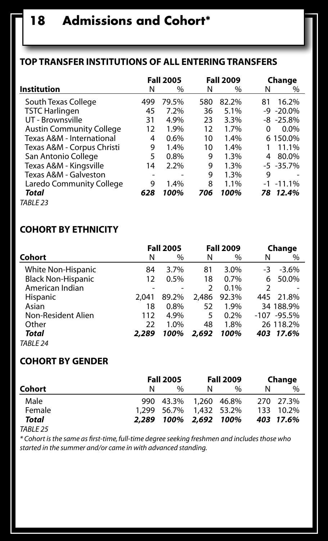### **Top Transfer Institutions of All Entering Transfers**

|                                 |     | <b>Fall 2005</b> |     | <b>Fall 2009</b> |    | Change         |
|---------------------------------|-----|------------------|-----|------------------|----|----------------|
| <b>Institution</b>              | N   | $\%$             | N   | $\%$             | N  | $\%$           |
| South Texas College             | 499 | 79.5%            | 580 | 82.2%            | 81 | 16.2%          |
| <b>TSTC Harlingen</b>           | 45  | 7.2%             | 36  | 5.1%             |    | $-9 - 20.0\%$  |
| UT - Brownsville                | 31  | 4.9%             | 23  | 3.3%             |    | $-8$ $-25.8\%$ |
| <b>Austin Community College</b> | 12  | 1.9%             | 12  | 1.7%             | 0  | $0.0\%$        |
| Texas A&M - International       | 4   | 0.6%             | 10  | 1.4%             |    | 6 150.0%       |
| Texas A&M - Corpus Christi      | 9   | 1.4%             | 10  | 1.4%             |    | 11.1%          |
| San Antonio College             | 5   | 0.8%             | 9   | 1.3%             | 4  | 80.0%          |
| Texas A&M - Kingsville          | 14  | 2.2%             | 9   | 1.3%             |    | $-5 - 35.7\%$  |
| Texas A&M - Galveston           | ۰   | -                | 9   | 1.3%             | 9  | ۰              |
| Laredo Community College        | 9   | 1.4%             | 8   | 1.1%             |    | $-1$ $-11.1%$  |
| Total                           | 628 | 100%             | 706 | 100%             | 78 | 12.4%          |
| TABLE <sub>23</sub>             |     |                  |     |                  |    |                |

### **Cohort by Ethnicity**

|                           |       | <b>Fall 2005</b> |                | <b>Fall 2009</b> |                | Change         |
|---------------------------|-------|------------------|----------------|------------------|----------------|----------------|
| Cohort                    | N     | %                | N              | $\%$             | N              | %              |
| White Non-Hispanic        | 84    | 3.7%             | 81             | 3.0%             | -3             | $-3.6%$        |
| <b>Black Non-Hispanic</b> | 12    | 0.5%             | 18             | 0.7%             | 6              | 50.0%          |
| American Indian           |       |                  | $\overline{2}$ | 0.1%             | $\overline{2}$ |                |
| <b>Hispanic</b>           | 2.041 | 89.2%            | 2,486          | 92.3%            | 445            | 21.8%          |
| Asian                     | 18    | $0.8\%$          | 52             | 1.9%             |                | 34 188.9%      |
| Non-Resident Alien        | 112   | 4.9%             | 5              | 0.2%             |                | $-107 - 95.5%$ |
| Other                     | 22    | 1.0%             | 48             | 1.8%             |                | 26 118.2%      |
| Total                     | 2.289 | 100%             | 2,692          | 100%             |                | 403 17.6%      |
| TABLE 24                  |       |                  |                |                  |                |                |

#### **Cohort By Gender**

|        |    | <b>Fall 2005</b>        |   | <b>Fall 2009</b> | Change        |
|--------|----|-------------------------|---|------------------|---------------|
| Cohort | N. | 0/2                     | N | $\frac{0}{0}$    | $\frac{0}{0}$ |
| Male   |    | 990 43.3% 1.260 46.8%   |   |                  | 270 27.3%     |
| Female |    | 1.299 56.7% 1.432 53.2% |   |                  | 133 10.2%     |
| Total  |    | 2,289 100% 2,692 100%   |   |                  | 403 17.6%     |

*TABLE 25*

*\* Cohort is the same as first-time, full-time degree seeking freshmen and includes those who started in the summer and/or came in with advanced standing.*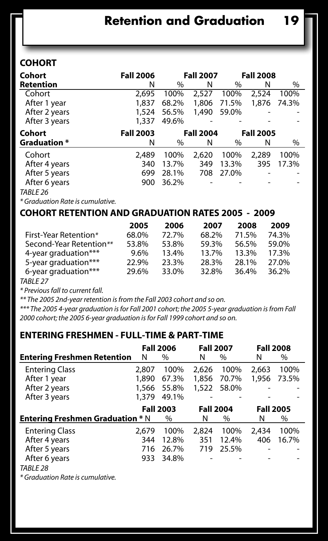### **Cohort**

| Cohort              | <b>Fall 2006</b> |       | <b>Fall 2007</b> |       | <b>Fall 2008</b> |       |
|---------------------|------------------|-------|------------------|-------|------------------|-------|
| Retention           | N                | $\%$  | N                | $\%$  | N                | $\%$  |
| Cohort              | 2,695            | 100%  | 2,527            | 100%  | 2,524            | 100%  |
| After 1 year        | 1,837            | 68.2% | 1,806            | 71.5% | 1,876            | 74.3% |
| After 2 years       | 1,524            | 56.5% | 1,490            | 59.0% |                  |       |
| After 3 years       | 1,337            | 49.6% |                  |       |                  |       |
| Cohort              | <b>Fall 2003</b> |       | <b>Fall 2004</b> |       | <b>Fall 2005</b> |       |
| <b>Graduation</b> * | Ν                | $\%$  | N                | %     | N                | %     |
| Cohort              | 2,489            | 100%  | 2,620            | 100%  | 2.289            | 100%  |
| After 4 years       | 340              | 13.7% | 349              | 13.3% | 395              | 17.3% |
| After 5 years       | 699              | 28.1% | 708              | 27.0% |                  |       |
| After 6 years       | 900              | 36.2% |                  |       |                  |       |
| TABLE 26            |                  |       |                  |       |                  |       |

*\* Graduation Rate is cumulative.*

#### **Cohort Retention and Graduation Rates 2005 - 2009**

|                         | 2005    | 2006  | 2007  | 2008  | 2009  |
|-------------------------|---------|-------|-------|-------|-------|
| First-Year Retention*   | 68.0%   | 72.7% | 68.2% | 71.5% | 74.3% |
| Second-Year Retention** | 53.8%   | 53.8% | 59.3% | 56.5% | 59.0% |
| 4-year graduation***    | $9.6\%$ | 13.4% | 13.7% | 13.3% | 17.3% |
| 5-year graduation***    | 22.9%   | 23.3% | 28.3% | 28.1% | 27.0% |
| 6-year graduation***    | 29.6%   | 33.0% | 32.8% | 36.4% | 36.2% |
|                         |         |       |       |       |       |

*TABLE 27*

*\* Previous fall to current fall.* 

*\*\* The 2005 2nd-year retention is from the Fall 2003 cohort and so on.* 

*\*\*\* The 2005 4-year graduation is for Fall 2001 cohort; the 2005 5-year graduation is from Fall 2000 cohort; the 2005 6-year graduation is for Fall 1999 cohort and so on.*

## **Entering Freshmen - Full-time & Part-time**

|                                         |       | <b>Fall 2006</b> | <b>Fall 2007</b> |               | <b>Fall 2008</b> |       |
|-----------------------------------------|-------|------------------|------------------|---------------|------------------|-------|
| <b>Entering Freshmen Retention</b>      | N     | $\%$             | N                | $\%$          | N                | %     |
| <b>Entering Class</b>                   | 2,807 | 100%             | 2.626            | 100%          | 2.663            | 100%  |
| After 1 year                            | 1,890 | 67.3%            | 1,856            | 70.7%         | 1,956            | 73.5% |
| After 2 years                           | 1,566 | 55.8%            | 1,522            | 58.0%         |                  |       |
| After 3 years                           | 1,379 | 49.1%            | -                |               |                  |       |
|                                         |       |                  |                  |               |                  |       |
|                                         |       | <b>Fall 2003</b> | <b>Fall 2004</b> |               | <b>Fall 2005</b> |       |
| <b>Entering Freshmen Graduation * N</b> |       | $\%$             | N                | $\frac{0}{0}$ | N                | %     |
| <b>Entering Class</b>                   | 2.679 | 100%             | 2,824            | 100%          | 2.434            | 100%  |
| After 4 years                           | 344   | 12.8%            | 351              | 12.4%         | 406              | 16.7% |
| After 5 years                           | 716   | 26.7%            | 719              | 25.5%         |                  |       |
| After 6 years                           | 933   | 34.8%            |                  |               |                  |       |

*\* Graduation Rate is cumulative.*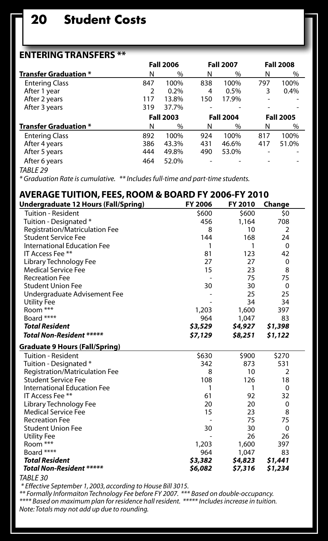## **20 Student Costs**

### **Entering Transfers \*\***

|                              |     | <b>Fall 2006</b> |     | <b>Fall 2007</b> |     | <b>Fall 2008</b> |
|------------------------------|-----|------------------|-----|------------------|-----|------------------|
| <b>Transfer Graduation *</b> | N   | %                | N   | %                | N   | %                |
| <b>Entering Class</b>        | 847 | 100%             | 838 | 100%             | 797 | 100%             |
| After 1 year                 | 2   | 0.2%             | 4   | 0.5%             | 3   | 0.4%             |
| After 2 years                | 117 | 13.8%            | 150 | 17.9%            |     |                  |
| After 3 years                | 319 | 37.7%            | ۰   |                  |     |                  |
|                              |     | <b>Fall 2003</b> |     | <b>Fall 2004</b> |     | <b>Fall 2005</b> |
| <b>Transfer Graduation *</b> | N   | %                | N   | %                | N   | $\%$             |
| <b>Entering Class</b>        | 892 | 100%             | 924 | 100%             | 817 | 100%             |
| After 4 years                | 386 | 43.3%            | 431 | 46.6%            | 417 | 51.0%            |
| After 5 years                | 444 | 49.8%            | 490 | 53.0%            |     |                  |
| After 6 years                | 464 | 52.0%            |     |                  |     |                  |
| <b>TADIE JO</b>              |     |                  |     |                  |     |                  |

*TABLE 29*

*\* Graduation Rate is cumulative. \*\* Includes full-time and part-time students.*

| AVERAGE TUITION, FEES, ROOM & BOARD FY 2006-FY 2010 |         |         |          |  |
|-----------------------------------------------------|---------|---------|----------|--|
| Undergraduate 12 Hours (Fall/Spring)                | FY 2006 | FY 2010 | Change   |  |
| <b>Tuition - Resident</b>                           | \$600   | \$600   | \$0      |  |
| Tuition - Designated *                              | 456     | 1,164   | 708      |  |
| Registration/Matriculation Fee                      | 8       | 10      | 2        |  |
| <b>Student Service Fee</b>                          | 144     | 168     | 24       |  |
| International Education Fee                         | 1       | 1       | $\Omega$ |  |
| IT Access Fee **                                    | 81      | 123     | 42       |  |
| Library Technology Fee                              | 27      | 27      | 0        |  |
| <b>Medical Service Fee</b>                          | 15      | 23      | 8        |  |
| <b>Recreation Fee</b>                               |         | 75      | 75       |  |
| <b>Student Union Fee</b>                            | 30      | 30      | $\Omega$ |  |
| Undergraduate Advisement Fee                        |         | 25      | 25       |  |
| <b>Utility Fee</b>                                  |         | 34      | 34       |  |
| Room ***                                            | 1,203   | 1.600   | 397      |  |
| Board ****                                          | 964     | 1,047   | 83       |  |
| <b>Total Resident</b>                               | \$3,529 | \$4,927 | \$1,398  |  |
| <b>Total Non-Resident *****</b>                     | \$7,129 | \$8,251 | \$1,122  |  |
| Graduate 9 Hours (Fall/Spring)                      |         |         |          |  |
| <b>Tuition - Resident</b>                           | \$630   | \$900   | \$270    |  |
| Tuition - Designated *                              | 342     | 873     | 531      |  |
| Registration/Matriculation Fee                      | 8       | 10      | 2        |  |
| <b>Student Service Fee</b>                          | 108     | 126     | 18       |  |
| <b>International Education Fee</b>                  | 1       | 1       | $\Omega$ |  |
| IT Access Fee **                                    | 61      | 92      | 32       |  |
| Library Technology Fee                              | 20      | 20      | 0        |  |
| <b>Medical Service Fee</b>                          | 15      | 23      | 8        |  |
| <b>Recreation Fee</b>                               |         | 75      | 75       |  |
| <b>Student Union Fee</b>                            | 30      | 30      | $\Omega$ |  |
| <b>Utility Fee</b>                                  |         | 26      | 26       |  |
| Room ***                                            | 1,203   | 1,600   | 397      |  |
| Board ****                                          | 964     | 1,047   | 83       |  |
| <b>Total Resident</b>                               | \$3,382 | \$4,823 | \$1,441  |  |
| <b>Total Non-Resident *****</b>                     | \$6,082 | \$7,316 | \$1,234  |  |

*TABLE 30*

\* Effective September 1, 2003, according to House Bill 3015.<br>\*\* Formally Informaiton Technology Fee before FY 2007. \*\*\* Based on double-occupancy.<br>\*\*\*\* Based on maximum plan for residence hall resident. \*\*\*\*\* Includes incr *Note: Totals may not add up due to rounding.*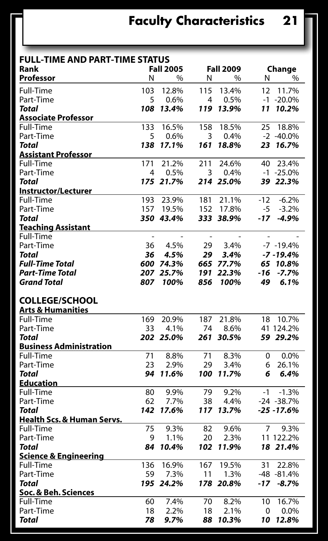| <b>FULL-TIME AND PART-TIME STATUS</b> |                |                  |                          |                  |                          |                |
|---------------------------------------|----------------|------------------|--------------------------|------------------|--------------------------|----------------|
| Rank                                  |                | <b>Fall 2005</b> |                          | <b>Fall 2009</b> |                          | Change         |
| Professor                             | N              | %                | N                        | $\%$             | N                        | %              |
| Full-Time                             | 103            | 12.8%            | 115                      | 13.4%            | 12                       | 11.7%          |
| Part-Time                             | 5              | 0.6%             | 4                        | 0.5%             |                          | $-1 - 20.0\%$  |
| Total                                 | 108            | 13.4%            | 119                      | 13.9%            | 11                       | 10.2%          |
| <b>Associate Professor</b>            |                |                  |                          |                  |                          |                |
| Full-Time                             | 133            | 16.5%            | 158                      | 18.5%            | 25                       | 18.8%          |
| Part-Time                             | 5              | 0.6%             | 3                        | 0.4%             |                          | $-2 - 40.0\%$  |
| Total                                 | 138            | 17.1%            | 161                      | 18.8%            |                          | 23 16.7%       |
| <b>Assistant Professor</b>            |                |                  |                          |                  |                          |                |
| Full-Time                             | 171            | 21.2%            | 211                      | 24.6%            | 40                       | 23.4%          |
| Part-Time                             | 4              | 0.5%             | 3                        | 0.4%             |                          | $-1$ $-25.0\%$ |
| <b>Total</b>                          |                | 175 21.7%        |                          | 214 25.0%        |                          | 39 22.3%       |
| <b>Instructor/Lecturer</b>            |                |                  |                          |                  |                          |                |
| Full-Time                             | 193            | 23.9%            | 181                      | 21.1%            | $-12$                    | $-6.2%$        |
| Part-Time                             | 157            | 19.5%            | 152                      | 17.8%            | -5                       | $-3.2%$        |
| Total                                 |                | 350 43.4%        |                          | 333 38.9%        | $-17$                    | $-4.9%$        |
| <b>Teaching Assistant</b>             |                |                  |                          |                  |                          |                |
| Full-Time                             | $\overline{a}$ |                  | $\overline{\phantom{a}}$ |                  | $\overline{\phantom{a}}$ |                |
| Part-Time                             | 36             | 4.5%             | 29                       | 3.4%             |                          | $-7 - 19.4%$   |
| <b>Total</b>                          | 36             | 4.5%             | 29                       | 3.4%             |                          | $-7 - 19.4%$   |
| <b>Full-Time Total</b>                |                | 600 74.3%        |                          | 665 77.7%        |                          | 65 10.8%       |
| Part-Time Total                       | 207            | 25.7%            | 191                      | 22.3%            | -16                      | $-7.7%$        |
| Grand Total                           | 807            | 100%             | 856                      | 100%             | 49                       | 6.1%           |
|                                       |                |                  |                          |                  |                          |                |
| <b>COLLEGE/SCHOOL</b>                 |                |                  |                          |                  |                          |                |
| Arts & Humanities                     |                |                  |                          |                  |                          |                |
| Full-Time                             | 169            | 20.9%            | 187                      | 21.8%            | 18                       | 10.7%          |
| Part-Time                             | 33             | 4.1%             | 74                       | 8.6%             |                          | 41 124.2%      |
| <b>Total</b>                          |                | 202 25.0%        | 261                      | 30.5%            |                          | 59 29.2%       |
| <b>Business Administration</b>        |                |                  |                          |                  |                          |                |
| Full-Time                             | 71             | 8.8%             | 71                       | 8.3%             | 0                        | 0.0%           |
| Part-Time                             | 23             | 2.9%             | 29                       | 3.4%             | 6                        | 26.1%          |
| Total                                 | 94             | 11.6%            | 100                      | 11.7%            | 6                        | 6.4%           |
| Education                             |                |                  |                          |                  |                          |                |
| Full-Time                             | 80             | 9.9%             | 79                       | 9.2%             | -1                       | $-1.3%$        |
| Part-Time                             | 62             | 7.7%             | 38                       | 4.4%             |                          | $-24 - 38.7%$  |
| <b>Total</b>                          | 142            | 17.6%            |                          | 117 13.7%        |                          | $-25 - 17.6%$  |
| Health Scs. & Human Servs.            |                |                  |                          |                  |                          |                |
| Full-Time                             | 75             | 9.3%             | 82                       | 9.6%             | 7                        | 9.3%           |
| Part-Time                             | 9              | 1.1%             | 20                       | 2.3%             |                          | 11 122.2%      |
| Total                                 | 84             | 10.4%            | 102                      | 11.9%            |                          | 18 21.4%       |
| <b>Science &amp; Engineering</b>      |                |                  |                          |                  |                          |                |
| Full-Time                             | 136            | 16.9%            | 167                      | 19.5%            | 31                       | 22.8%          |
| Part-Time                             | 59             | 7.3%             | 11                       | 1.3%             |                          | $-48 - 81.4%$  |
| <b>Total</b>                          |                | 195 24.2%        |                          | 178 20.8%        | $-17$                    | $-8.7%$        |
| Soc. & Beh. Sciences                  |                |                  |                          |                  |                          |                |
| Full-Time                             | 60             | 7.4%             | 70                       | 8.2%             | 10                       | 16.7%          |
| Part-Time                             | 18             | 2.2%             | 18                       | 2.1%             | 0                        | $0.0\%$        |
| Total                                 | 78             | 9.7%             | 88                       | 10.3%            | 10                       | 12.8%          |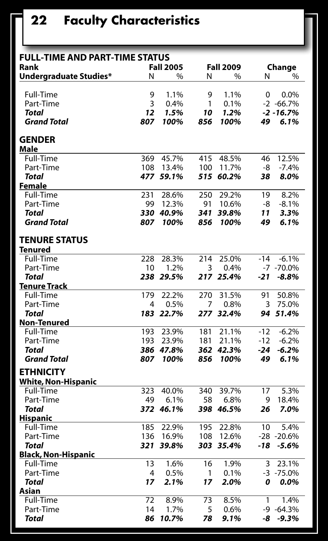# **22 Faculty Characteristics**

| <b>FULL-TIME AND PART-TIME STATUS</b>          |     |                  |     |                  |          |               |
|------------------------------------------------|-----|------------------|-----|------------------|----------|---------------|
| Rank                                           |     | <b>Fall 2005</b> |     | <b>Fall 2009</b> |          | Change        |
| Undergraduate Studies*                         | N   | %                | N   | %                | N        | %             |
| Full-Time                                      | 9   | 1.1%             | 9   | 1.1%             | $\Omega$ | 0.0%          |
| Part-Time                                      | 3   | 0.4%             | 1   | 0.1%             |          | $-2 -66.7%$   |
| Total                                          | 12  | 1.5%             | 10  | 1.2%             |          | $-2 - 16.7%$  |
| <b>Grand Total</b>                             | 807 | 100%             | 856 | 100%             | 49       | 6.1%          |
| <b>GENDER</b><br>Male                          |     |                  |     |                  |          |               |
| Full-Time                                      | 369 | 45.7%            | 415 | 48.5%            | 46       | 12.5%         |
| Part-Time                                      | 108 | 13.4%            | 100 | 11.7%            | -8       | $-7.4%$       |
| Total                                          |     | 477 59.1%        | 515 | 60.2%            | 38       | 8.0%          |
| Female                                         |     |                  |     |                  |          |               |
| Full-Time                                      | 231 | 28.6%            | 250 | 29.2%            | 19       | 8.2%          |
| Part-Time                                      | 99  | 12.3%            | 91  | 10.6%            | -8       | $-8.1%$       |
| Total                                          | 330 | 40.9%            | 341 | 39.8%            | 11       | 3.3%          |
| <b>Grand Total</b>                             | 807 | 100%             | 856 | 100%             | 49       | 6.1%          |
| <b>TENURE STATUS</b><br>Tenured                |     |                  |     |                  |          |               |
| Full-Time                                      | 228 | 28.3%            | 214 | 25.0%            | $-14$    | $-6.1%$       |
| Part-Time                                      | 10  | 1.2%             | 3   | 0.4%             |          | $-7 - 70.0\%$ |
| Total                                          |     | 238 29.5%        |     | 217 25.4%        | -21      | $-8.8%$       |
| <b>Tenure Track</b>                            |     |                  |     |                  |          |               |
| Full-Time                                      | 179 | 22.2%            | 270 | 31.5%            | 91       | 50.8%         |
| Part-Time                                      | 4   | 0.5%             | 7   | 0.8%             | 3        | 75.0%         |
| Total                                          |     | 183 22.7%        |     | 277 32.4%        |          | 94 51.4%      |
| <b>Non-Tenured</b>                             |     |                  |     |                  |          |               |
| Full-Time                                      | 193 | 23.9%            | 181 | 21.1%            | $-12$    | $-6.2%$       |
| Part-Time                                      | 193 | 23.9%            | 181 | 21.1%            | $-12$    | $-6.2%$       |
| <b>Total</b>                                   | 386 | 47.8%            |     | 362 42.3%        | -24      | $-6.2%$       |
| <b>Grand Total</b>                             | 807 | 100%             | 856 | 100%             | 49       | 6.1%          |
| <b>ETHNICITY</b><br><b>White, Non-Hispanic</b> |     |                  |     |                  |          |               |
| Full-Time                                      | 323 | 40.0%            | 340 | 39.7%            | 17       | 5.3%          |
| Part-Time                                      | 49  | 6.1%             | 58  | 6.8%             | 9        | 18.4%         |
| Total                                          |     | 372 46.1%        |     | 398 46.5%        | 26       | 7.0%          |
| <b>Hispanic</b>                                |     |                  |     |                  |          |               |
| Full-Time                                      | 185 | 22.9%            | 195 | 22.8%            | 10       | 5.4%          |
| Part-Time                                      | 136 | 16.9%            | 108 | 12.6%            |          | $-28 - 20.6%$ |
| Total                                          | 321 | 39.8%            |     | 303 35.4%        | -18      | $-5.6%$       |
| <b>Black, Non-Hispanic</b>                     |     |                  |     |                  |          |               |
| <b>Full-Time</b>                               | 13  | 1.6%             | 16  | 1.9%             | 3        | 23.1%         |
| Part-Time                                      | 4   | 0.5%             | 1   | 0.1%             |          | $-3 - 75.0%$  |
| Total                                          | 17  | 2.1%             | 17  | 2.0%             | 0        | $0.0\%$       |
| Asian                                          |     |                  |     |                  |          |               |
| Full-Time                                      | 72  | 8.9%             | 73  | 8.5%             | 1        | 1.4%          |
| Part-Time                                      | 14  | 1.7%             | 5   | 0.6%             |          | $-9 -64.3%$   |
| Total                                          | 86  | 10.7%            | 78  | 9.1%             | -8       | $-9.3%$       |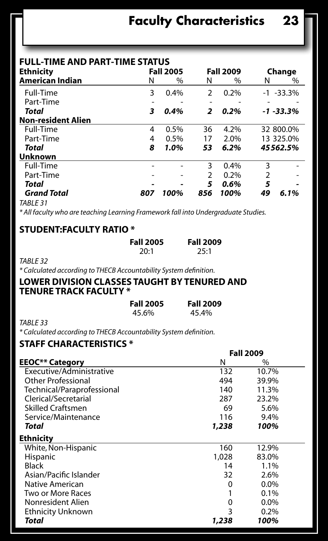| <b>FULL-TIME AND PART-TIME STATUS</b> |     |                  |     |                  |    |               |
|---------------------------------------|-----|------------------|-----|------------------|----|---------------|
| <b>Ethnicity</b>                      |     | <b>Fall 2005</b> |     | <b>Fall 2009</b> |    | Change        |
| <b>American Indian</b>                | N   | $\%$             | N   | %                | N  | $\%$          |
| Full-Time                             | 3   | 0.4%             | 2   | 0.2%             |    | $-1$ $-33.3%$ |
| Part-Time                             |     |                  |     |                  |    |               |
| Total                                 | 3   | 0.4%             | 2   | 0.2%             |    | $-1 - 33.3%$  |
| <b>Non-resident Alien</b>             |     |                  |     |                  |    |               |
| Full-Time                             | 4   | $0.5\%$          | 36  | 4.2%             |    | 32 800.0%     |
| Part-Time                             | 4   | $0.5\%$          | 17  | 2.0%             |    | 13 325.0%     |
| Total                                 | 8   | 1.0%             | 53  | 6.2%             |    | 45562.5%      |
| <b>Unknown</b>                        |     |                  |     |                  |    |               |
| Full-Time                             |     |                  | 3   | 0.4%             | 3  |               |
| Part-Time                             |     |                  | 2   | 0.2%             | ς  |               |
| Total                                 |     |                  | 5   | 0.6%             | 5  |               |
| <b>Grand Total</b>                    | 807 | 100%             | 856 | 100%             | 49 | 6.1%          |
| $TADLE$ 21                            |     |                  |     |                  |    |               |

*TABLE 31*

*\* All faculty who are teaching Learning Framework fall into Undergraduate Studies.*

#### **Student:Faculty Ratio \***

| <b>Fall 2005</b> | <b>Fall 2009</b> |
|------------------|------------------|
| 20:1             | 25:1             |

*TABLE 32*

*\* Calculated according to THECB Accountability System definition.*

#### **Lower Division Classes Taught by Tenured and Tenure Track Faculty \***

| <b>Fall 2005</b> | <b>Fall 2009</b> |
|------------------|------------------|
| 45.6%            | 45.4%            |

*TABLE 33*

*\* Calculated according to THECB Accountability System definition.*

#### **Staff Characteristics \***

|                            |       | <b>Fall 2009</b> |  |  |
|----------------------------|-------|------------------|--|--|
| <b>EEOC** Category</b>     | N     | %                |  |  |
| Executive/Administrative   | 132   | 10.7%            |  |  |
| <b>Other Professional</b>  | 494   | 39.9%            |  |  |
| Technical/Paraprofessional | 140   | 11.3%            |  |  |
| Clerical/Secretarial       | 287   | 23.2%            |  |  |
| <b>Skilled Craftsmen</b>   | 69    | 5.6%             |  |  |
| Service/Maintenance        | 116   | 9.4%             |  |  |
| Total                      | 1,238 | 100%             |  |  |
| <b>Ethnicity</b>           |       |                  |  |  |
| White, Non-Hispanic        | 160   | 12.9%            |  |  |
| Hispanic                   | 1.028 | 83.0%            |  |  |
| Black                      | 14    | 1.1%             |  |  |
| Asian/Pacific Islander     | 32    | 2.6%             |  |  |
| Native American            | 0     | $0.0\%$          |  |  |
| Two or More Races          |       | 0.1%             |  |  |
| Nonresident Alien          | 0     | 0.0%             |  |  |
| <b>Ethnicity Unknown</b>   | 3     | 0.2%             |  |  |
| Total                      | 1,238 | 100%             |  |  |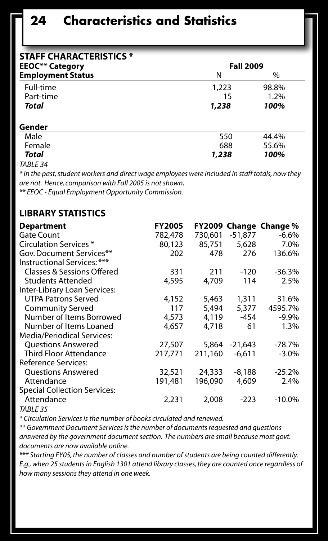## **24 Characteristics and Statistics**

| <b>STAFF CHARACTERISTICS *</b> |                  |       |  |
|--------------------------------|------------------|-------|--|
| <b>EEOC** Category</b>         | <b>Fall 2009</b> |       |  |
| <b>Employment Status</b>       | N                | %     |  |
| Full-time                      | 1,223            | 98.8% |  |
| Part-time                      | 15               | 1.2%  |  |
| Total                          | 1,238            | 100%  |  |
| Gender                         |                  |       |  |
| Male                           | 550              | 44.4% |  |
| Female                         | 688              | 55.6% |  |
| Total                          | 1,238            | 100%  |  |
| $\frac{1}{2}$                  |                  |       |  |

#### *TABLE 34*

*\* In the past, student workers and direct wage employees were included in staff totals, now they are not. Hence, comparison with Fall 2005 is not shown.* 

*\*\* EEOC - Equal Employment Opportunity Commission.*

#### **Library Statistics**

| <b>Department</b>                   | <b>FY2005</b> | FY2009  |           | Change Change % |
|-------------------------------------|---------------|---------|-----------|-----------------|
| Gate Count                          | 782,478       | 730,601 | $-51,877$ | $-6.6%$         |
| Circulation Services *              | 80,123        | 85,751  | 5,628     | 7.0%            |
| Gov. Document Services**            | 202           | 478     | 276       | 136.6%          |
| Instructional Services: ***         |               |         |           |                 |
| Classes & Sessions Offered          | 331           | 211     | $-120$    | $-36.3%$        |
| <b>Students Attended</b>            | 4,595         | 4,709   | 114       | 2.5%            |
| Inter-Library Loan Services:        |               |         |           |                 |
| <b>UTPA Patrons Served</b>          | 4,152         | 5,463   | 1,311     | 31.6%           |
| <b>Community Served</b>             | 117           | 5,494   | 5,377     | 4595.7%         |
| Number of Items Borrowed            | 4,573         | 4,119   | $-454$    | $-9.9\%$        |
| Number of Items Loaned              | 4,657         | 4,718   | 61        | 1.3%            |
| Media/Periodical Services:          |               |         |           |                 |
| <b>Ouestions Answered</b>           | 27,507        | 5,864   | $-21.643$ | $-78.7\%$       |
| <b>Third Floor Attendance</b>       | 217,771       | 211,160 | $-6.611$  | $-3.0\%$        |
| Reference Services:                 |               |         |           |                 |
| <b>Ouestions Answered</b>           | 32,521        | 24,333  | $-8,188$  | $-25.2%$        |
| Attendance                          | 191,481       | 196,090 | 4,609     | 2.4%            |
| <b>Special Collection Services:</b> |               |         |           |                 |
| Attendance                          | 2,231         | 2,008   | $-223$    | $-10.0\%$       |
| $\tau$ . $\sim$ $\sim$ $\sim$       |               |         |           |                 |

*TABLE 35*

*\* Circulation Services is the number of books circulated and renewed.*

*\*\* Government Document Services is the number of documents requested and questions answered by the government document section. The numbers are small because most govt. documents are now available online.*

*\*\*\* Starting FY05, the number of classes and number of students are being counted differently. E.g., when 25 students in English 1301 attend library classes, they are counted once regardless of how many sessions they attend in one week.*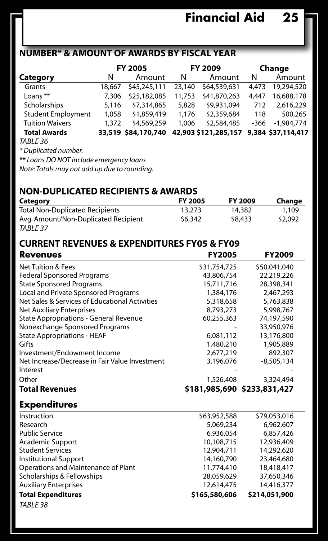## **Number\* & Amount OF AWARDS by Fiscal Year**

|                                            |        | FY 2005<br>FY 2009<br>Change |        |                      |        |                    |
|--------------------------------------------|--------|------------------------------|--------|----------------------|--------|--------------------|
| Category                                   | N      | Amount                       | N      | Amount               | N      | Amount             |
| Grants                                     | 18.667 | \$45,245,111                 | 23,140 | \$64,539,631         | 4.473  | 19,294,520         |
| Loans $**$                                 | 7.306  | \$25,182,085                 | 11.753 | \$41,870,263         | 4.447  | 16,688,178         |
| Scholarships                               | 5.116  | \$7,314,865                  | 5,828  | \$9,931,094          | 712    | 2,616,229          |
| <b>Student Employment</b>                  | 1.058  | \$1,859,419                  | 1.176  | \$2,359,684          | 118    | 500.265            |
| <b>Tuition Waivers</b>                     | 1,372  | \$4,569,259                  | 1.006  | \$2,584,485          | $-366$ | $-1.984.774$       |
| <b>Total Awards</b>                        |        | 33,519 \$84,170,740          |        | 42,903 \$121,285,157 |        | 9,384 \$37,114,417 |
| TABLE 36                                   |        |                              |        |                      |        |                    |
| * Duplicated number.                       |        |                              |        |                      |        |                    |
| $**$ Logns DO NOT include americancy logns |        |                              |        |                      |        |                    |

*\*\* Loans DO NOT include emergency loans*

*Note: Totals may not add up due to rounding.* 

### **Non-Duplicated Recipients & Awards**

| Category                               | <b>FY 2005</b> | FY 2009 | Change  |
|----------------------------------------|----------------|---------|---------|
| <b>Total Non-Duplicated Recipients</b> | 13.273         | 14,382  | 1.109   |
| Avg. Amount/Non-Duplicated Recipient   | \$6,342        | \$8,433 | \$2,092 |
| TABLE 37                               |                |         |         |

### **Current Revenues & Expenditures FY05 & FY09**

| <b>Revenues</b>                                            | <b>FY2005</b> | <b>FY2009</b>               |
|------------------------------------------------------------|---------------|-----------------------------|
| <b>Net Tuition &amp; Fees</b>                              | \$31,754,725  | \$50,041,040                |
| <b>Federal Sponsored Programs</b>                          | 43.806.754    | 22.219.226                  |
| <b>State Sponsored Programs</b>                            | 15.711.716    | 28.398.341                  |
| Local and Private Sponsored Programs                       | 1,384,176     | 2.467.293                   |
| Net Sales & Services of Educational Activities             | 5.318.658     | 5.763.838                   |
| <b>Net Auxiliary Enterprises</b>                           | 8,793,273     | 5,998,767                   |
| <b>State Appropriations - General Revenue</b>              | 60,255,363    | 74,197,590                  |
| Nonexchange Sponsored Programs                             |               | 33.950.976                  |
| <b>State Appropriations - HEAF</b>                         | 6.081.112     | 13,176,800                  |
| Gifts                                                      | 1,480,210     | 1,905,889                   |
| Investment/Endowment Income                                | 2.677.219     | 892,307                     |
| Net Increase/Decrease in Fair Value Investment<br>Interest | 3.196.076     | $-8,505,134$                |
| Other                                                      | 1,526,408     | 3,324,494                   |
| <b>Total Revenues</b>                                      |               | \$181,985,690 \$233,831,427 |

### **Expenditures**

| Instruction                         | \$63,952,588  | \$79,053,016  |
|-------------------------------------|---------------|---------------|
| Research                            | 5,069,234     | 6.962.607     |
| <b>Public Service</b>               | 6.936.054     | 6.857.426     |
| Academic Support                    | 10.108.715    | 12,936,409    |
| <b>Student Services</b>             | 12,904,711    | 14,292,620    |
| <b>Institutional Support</b>        | 14,160,790    | 23,464,680    |
| Operations and Maintenance of Plant | 11,774,410    | 18,418,417    |
| Scholarships & Fellowships          | 28,059,629    | 37,650,346    |
| <b>Auxiliary Enterprises</b>        | 12.614.475    | 14,416,377    |
| <b>Total Expenditures</b>           | \$165,580,606 | \$214,051,900 |
| TABLE 38                            |               |               |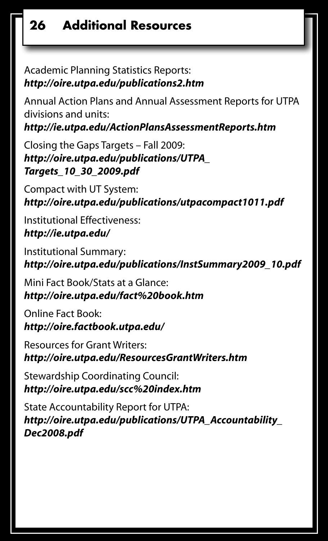## **26 Additional Resources**

Academic Planning Statistics Reports: *http://oire.utpa.edu/publications2.htm*

Annual Action Plans and Annual Assessment Reports for UTPA divisions and units:

*http://ie.utpa.edu/ActionPlansAssessmentReports.htm* 

Closing the Gaps Targets – Fall 2009: *http://oire.utpa.edu/publications/UTPA\_ Targets\_10\_30\_2009.pdf*

Compact with UT System: *http://oire.utpa.edu/publications/utpacompact1011.pdf*

Institutional Effectiveness: *http://ie.utpa.edu/*

Institutional Summary: *http://oire.utpa.edu/publications/InstSummary2009\_10.pdf*

Mini Fact Book/Stats at a Glance: *http://oire.utpa.edu/fact%20book.htm*

Online Fact Book: *http://oire.factbook.utpa.edu/*

Resources for Grant Writers: *http://oire.utpa.edu/ResourcesGrantWriters.htm*

Stewardship Coordinating Council: *http://oire.utpa.edu/scc%20index.htm*

State Accountability Report for UTPA: *http://oire.utpa.edu/publications/UTPA\_Accountability\_ Dec2008.pdf*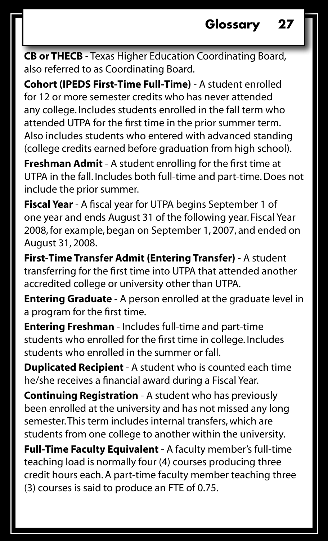**CB or THECB** - Texas Higher Education Coordinating Board, also referred to as Coordinating Board.

**Cohort (IPEDS First-Time Full-Time)** - A student enrolled for 12 or more semester credits who has never attended any college. Includes students enrolled in the fall term who attended UTPA for the first time in the prior summer term. Also includes students who entered with advanced standing (college credits earned before graduation from high school).

**Freshman Admit** - A student enrolling for the first time at UTPA in the fall. Includes both full-time and part-time. Does not include the prior summer.

**Fiscal Year** - A fiscal year for UTPA begins September 1 of one year and ends August 31 of the following year. Fiscal Year 2008, for example, began on September 1, 2007, and ended on August 31, 2008.

**First-Time Transfer Admit (Entering Transfer)** - A student transferring for the first time into UTPA that attended another accredited college or university other than UTPA.

**Entering Graduate** - A person enrolled at the graduate level in a program for the first time.

**Entering Freshman** - Includes full-time and part-time students who enrolled for the first time in college. Includes students who enrolled in the summer or fall.

**Duplicated Recipient** - A student who is counted each time he/she receives a financial award during a Fiscal Year.

**Continuing Registration** - A student who has previously been enrolled at the university and has not missed any long semester. This term includes internal transfers, which are students from one college to another within the university.

**Full-Time Faculty Equivalent** - A faculty member's full-time teaching load is normally four (4) courses producing three credit hours each. A part-time faculty member teaching three (3) courses is said to produce an FTE of 0.75.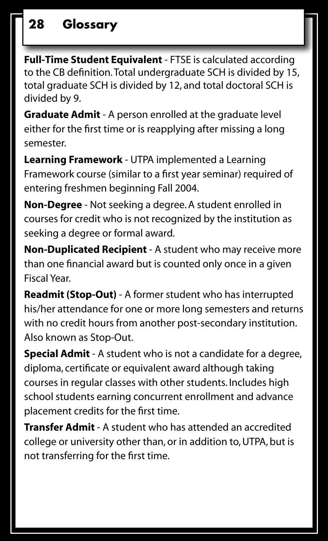**Full-Time Student Equivalent** - FTSE is calculated according to the CB definition. Total undergraduate SCH is divided by 15, total graduate SCH is divided by 12, and total doctoral SCH is divided by 9.

**Graduate Admit** - A person enrolled at the graduate level either for the first time or is reapplying after missing a long semester.

**Learning Framework** - UTPA implemented a Learning Framework course (similar to a first year seminar) required of entering freshmen beginning Fall 2004.

**Non-Degree** - Not seeking a degree. A student enrolled in courses for credit who is not recognized by the institution as seeking a degree or formal award.

**Non-Duplicated Recipient** - A student who may receive more than one financial award but is counted only once in a given Fiscal Year.

**Readmit (Stop-Out)** - A former student who has interrupted his/her attendance for one or more long semesters and returns with no credit hours from another post-secondary institution. Also known as Stop-Out.

**Special Admit** - A student who is not a candidate for a degree, diploma, certificate or equivalent award although taking courses in regular classes with other students. Includes high school students earning concurrent enrollment and advance placement credits for the first time.

**Transfer Admit** - A student who has attended an accredited college or university other than, or in addition to, UTPA, but is not transferring for the first time.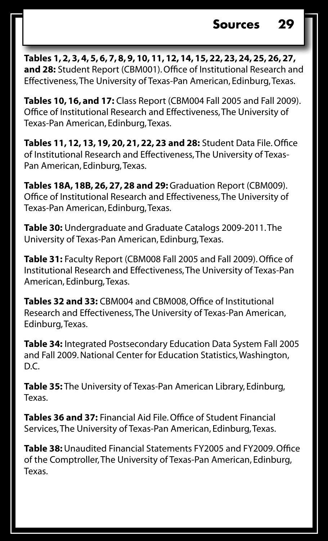**Tables 1, 2, 3, 4, 5, 6, 7, 8, 9, 10, 11, 12, 14, 15, 22, 23, 24, 25, 26, 27, and 28:** Student Report (CBM001). Office of Institutional Research and Effectiveness, The University of Texas-Pan American, Edinburg, Texas.

**Tables 10, 16, and 17:** Class Report (CBM004 Fall 2005 and Fall 2009). Office of Institutional Research and Effectiveness, The University of Texas-Pan American, Edinburg, Texas.

**Tables 11, 12, 13, 19, 20, 21, 22, 23 and 28:** Student Data File. Office of Institutional Research and Effectiveness, The University of Texas-Pan American, Edinburg, Texas.

**Tables 18A, 18B, 26, 27, 28 and 29:** Graduation Report (CBM009). Office of Institutional Research and Effectiveness, The University of Texas-Pan American, Edinburg, Texas.

**Table 30:** Undergraduate and Graduate Catalogs 2009-2011. The University of Texas-Pan American, Edinburg, Texas.

**Table 31:** Faculty Report (CBM008 Fall 2005 and Fall 2009). Office of Institutional Research and Effectiveness, The University of Texas-Pan American, Edinburg, Texas.

**Tables 32 and 33:** CBM004 and CBM008, Office of Institutional Research and Effectiveness, The University of Texas-Pan American, Edinburg, Texas.

**Table 34:** Integrated Postsecondary Education Data System Fall 2005 and Fall 2009. National Center for Education Statistics, Washington, D.C.

**Table 35:** The University of Texas-Pan American Library, Edinburg, Texas.

**Tables 36 and 37:** Financial Aid File. Office of Student Financial Services, The University of Texas-Pan American, Edinburg, Texas.

**Table 38:** Unaudited Financial Statements FY2005 and FY2009. Office of the Comptroller, The University of Texas-Pan American, Edinburg, Texas.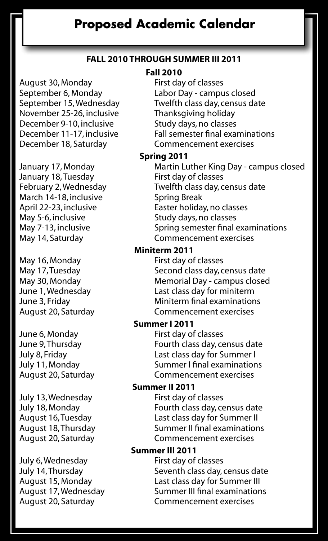## **Proposed Academic Calendar**

### **Fall 2010 through Summer III 2011**

August 30, Monday First day of classes<br>September 6, Monday Fabor Day - campu November 25-26, inclusive Thanksgiving holiday<br>December 9-10. inclusive Study days. no classes December 9-10, inclusive December 18, Saturday Commencement exercises

January 18, Tuesday March 14-18, inclusive Spring Break<br>April 22-23, inclusive Saster holida May 5-6, inclusive Study days, no classes

May 16, Monday First day of classes<br>May 17, Tuesday **First day of class day, c** 

June 6, Monday First day of classes<br>June 9, Thursday Fourth class day, ce

July 13, Wednesday<br>July 18, Monday

July 6, Wednesday First day of classes

#### **Fall 2010**

September 6, Monday Labor Day - campus closed<br>September 15, Wednesday Twelfth class day, census da Twelfth class day, census date December 11-17, inclusive Fall semester final examinations

#### **Spring 2011**

January 17, Monday **Martin Luther King Day - campus closed**<br>January 18. Tuesday **Martic Litter Constant Constant** February 2, Wednesday Twelfth class day, census date Easter holiday, no classes May 7-13, inclusive Spring semester final examinations<br>May 14, Saturday May Sommencement exercises Commencement exercises

#### **Miniterm 2011**

Second class day, census date May 30, Monday **Mandatic Common Memorial Day - campus closed**<br>
June 1, Wednesday **Mandatic Last class day for miniterm** Last class day for miniterm June 3, Friday Miniterm final examinations August 20, Saturday Commencement exercises

#### **Summer I 2011**

Fourth class day, census date July 8, Friday Last class day for Summer I July 11, Monday Summer I final examinations Commencement exercises

## **Summer II 2011**<br>First day of classes

Fourth class day, census date August 16, Tuesday Last class day for Summer II August 18, Thursday Summer II final examinations<br>August 20, Saturday Sommencement exercises Commencement exercises

#### **Summer III 2011**

July 14, Thursday Seventh class day, census date August 15, Monday Last class day for Summer III August 17, Wednesday Summer III final examinations<br>August 20, Saturday Summencement exercises Commencement exercises